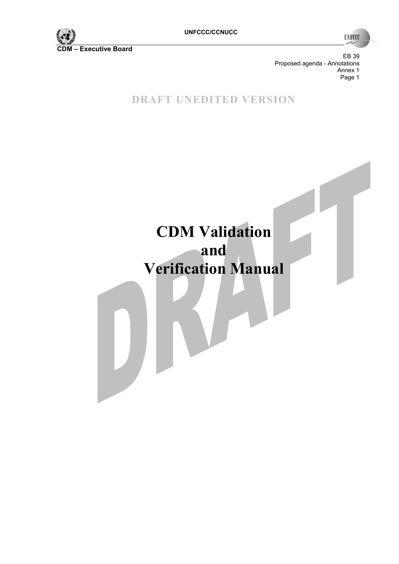

**UNFCCC** 

EB 39 Proposed agenda - Annotations Annex 1<br>Page 1 en de la provincia de la provincia de la provincia de la provincia de la provincia de la provincia de la provi

**DRAFT UNEDITED VERSION** 

# **CDM Validation and Verification Manual**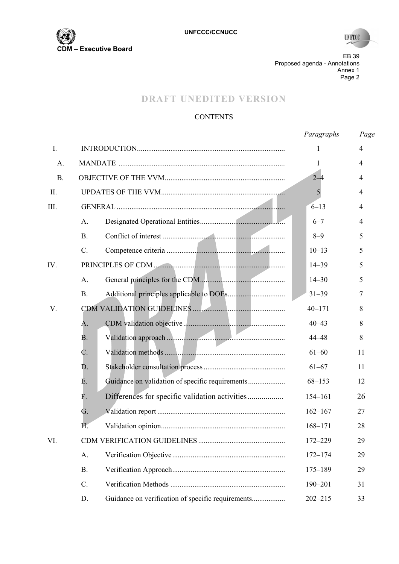

**UNFCCC** 

EB 39 Proposed agenda - Annotations Annex 1 Page 2 and the contract of the contract of the contract of the contract of the contract of the contract of the contract of the contract of the contract of the contract of the contract of the contract of the contract of the

# **DRAFT UNEDITED VERSION**

## **CONTENTS**

|             |                 |                                                   | Paragraphs  | Page |
|-------------|-----------------|---------------------------------------------------|-------------|------|
| $I_{\cdot}$ |                 |                                                   | 1           | 4    |
| A.          |                 |                                                   | 1           | 4    |
| <b>B.</b>   |                 |                                                   | $2 - 4$     | 4    |
| II.         |                 |                                                   | 5           | 4    |
| III.        |                 |                                                   | $6 - 13$    | 4    |
|             | A.              |                                                   | $6 - 7$     | 4    |
|             | B <sub>r</sub>  |                                                   | $8 - 9$     | 5    |
|             | $\mathcal{C}$ . |                                                   | $10 - 13$   | 5    |
| IV.         |                 |                                                   | $14 - 39$   | 5    |
|             | A.              |                                                   | $14 - 30$   | 5    |
|             | <b>B.</b>       |                                                   | $31 - 39$   | 7    |
| V.          |                 |                                                   | $40 - 171$  | 8    |
|             | A.              |                                                   | $40 - 43$   | 8    |
|             | В.              |                                                   | $44 - 48$   | 8    |
|             | C.              |                                                   | $61 - 60$   | 11   |
|             | D.              |                                                   | $61 - 67$   | 11   |
|             | Е.              | Guidance on validation of specific requirements   | $68 - 153$  | 12   |
|             | F.              | Differences for specific validation activities    | $154 - 161$ | 26   |
|             | G.              |                                                   | $162 - 167$ | 27   |
|             | H.              |                                                   | $168 - 171$ | 28   |
| VI.         |                 |                                                   | 172-229     | 29   |
|             | A.              |                                                   | $172 - 174$ | 29   |
|             | <b>B.</b>       |                                                   | $175 - 189$ | 29   |
|             | $C$ .           |                                                   | 190-201     | 31   |
|             | D.              | Guidance on verification of specific requirements | $202 - 215$ | 33   |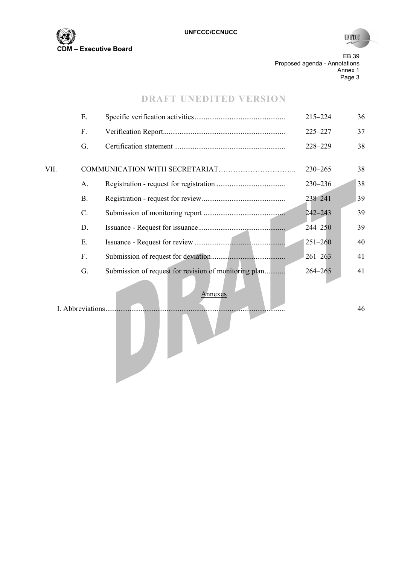

**UNFCCC** 

EB 39 Proposed agenda - Annotations Annex 1 en de la provincia de la provincia de la provincia de la provincia de la provincia de la provincia de la provi

## **DRAFT UNEDITED VERSION**

|                  | Ε.        |                                                       | 215-224     | 36 |
|------------------|-----------|-------------------------------------------------------|-------------|----|
|                  | F.        |                                                       | $225 - 227$ | 37 |
|                  | G.        |                                                       | 228-229     | 38 |
| VII.             |           |                                                       | $230 - 265$ | 38 |
|                  | A.        |                                                       | 230-236     | 38 |
|                  | <b>B.</b> |                                                       | 238-241     | 39 |
|                  | $C$ .     |                                                       | $242 - 243$ | 39 |
|                  | D.        |                                                       | $244 - 250$ | 39 |
|                  | Ε.        |                                                       | $251 - 260$ | 40 |
|                  | F.        |                                                       | $261 - 263$ | 41 |
|                  | G.        | Submission of request for revision of monitoring plan | $264 - 265$ | 41 |
| I. Abbreviations |           | Annexes                                               |             | 46 |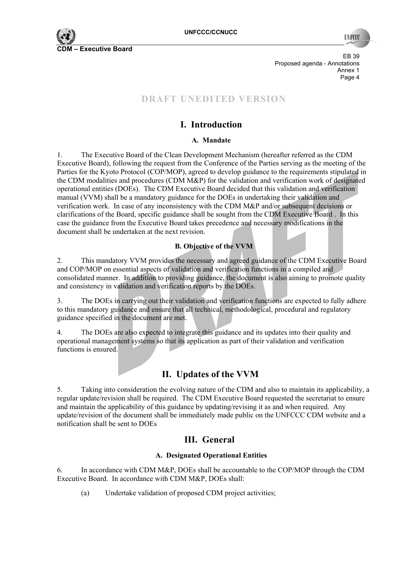

EB 39 Proposed agenda - Annotations Annex 1 en de la provincia de la provincia de la provincia de la provincia de la provincia de la provincia de la provi

# **DRAFT UNEDITED VERSION**

# **I. Introduction**

## **A. Mandate**

1. The Executive Board of the Clean Development Mechanism (hereafter referred as the CDM Executive Board), following the request from the Conference of the Parties serving as the meeting of the Parties for the Kyoto Protocol (COP/MOP), agreed to develop guidance to the requirements stipulated in the CDM modalities and procedures (CDM M&P) for the validation and verification work of designated operational entities (DOEs). The CDM Executive Board decided that this validation and verification manual (VVM) shall be a mandatory guidance for the DOEs in undertaking their validation and verification work. In case of any inconsistency with the CDM M&P and/or subsequent decisions or clarifications of the Board, specific guidance shall be sought from the CDM Executive Board . In this case the guidance from the Executive Board takes precedence and necessary modifications in the document shall be undertaken at the next revision.

## **B. Objective of the VVM**

2. This mandatory VVM provides the necessary and agreed guidance of the CDM Executive Board and COP/MOP on essential aspects of validation and verification functions in a compiled and consolidated manner. In addition to providing guidance, the document is also aiming to promote quality and consistency in validation and verification reports by the DOEs.

3. The DOEs in carrying out their validation and verification functions are expected to fully adhere to this mandatory guidance and ensure that all technical, methodological, procedural and regulatory guidance specified in the document are met.

4. The DOEs are also expected to integrate this guidance and its updates into their quality and operational management systems so that its application as part of their validation and verification functions is ensured.

# **II. Updates of the VVM**

5. Taking into consideration the evolving nature of the CDM and also to maintain its applicability, a regular update/revision shall be required. The CDM Executive Board requested the secretariat to ensure and maintain the applicability of this guidance by updating/revising it as and when required. Any update/revision of the document shall be immediately made public on the UNFCCC CDM website and a notification shall be sent to DOEs

# **III. General**

## **A. Designated Operational Entities**

6. In accordance with CDM M&P, DOEs shall be accountable to the COP/MOP through the CDM Executive Board. In accordance with CDM M&P, DOEs shall:

(a) Undertake validation of proposed CDM project activities;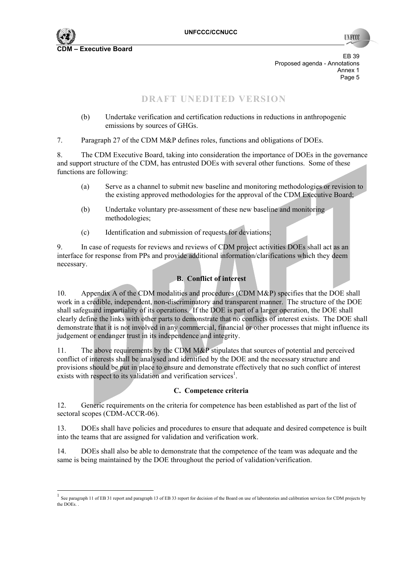

 $\overline{a}$ 

**INFO** 

EB 39 Proposed agenda - Annotations Annex 1 Page 5 and the contract of the contract of the contract of the contract of the contract of the contract of the contract of the contract of the contract of the contract of the contract of the contract of the contract of the

# **DRAFT UNEDITED VERSION**

(b) Undertake verification and certification reductions in reductions in anthropogenic emissions by sources of GHGs.

7. Paragraph 27 of the CDM M&P defines roles, functions and obligations of DOEs.

8. The CDM Executive Board, taking into consideration the importance of DOEs in the governance and support structure of the CDM, has entrusted DOEs with several other functions. Some of these functions are following:

- (a) Serve as a channel to submit new baseline and monitoring methodologies or revision to the existing approved methodologies for the approval of the CDM Executive Board;
- (b) Undertake voluntary pre-assessment of these new baseline and monitoring methodologies;
- (c) Identification and submission of requests for deviations;

9. In case of requests for reviews and reviews of CDM project activities DOEs shall act as an interface for response from PPs and provide additional information/clarifications which they deem necessary.

## **B. Conflict of interest**

10. Appendix A of the CDM modalities and procedures (CDM M&P) specifies that the DOE shall work in a credible, independent, non-discriminatory and transparent manner. The structure of the DOE shall safeguard impartiality of its operations. If the DOE is part of a larger operation, the DOE shall clearly define the links with other parts to demonstrate that no conflicts of interest exists. The DOE shall demonstrate that it is not involved in any commercial, financial or other processes that might influence its judgement or endanger trust in its independence and integrity.

11. The above requirements by the CDM M&P stipulates that sources of potential and perceived conflict of interests shall be analysed and identified by the DOE and the necessary structure and provisions should be put in place to ensure and demonstrate effectively that no such conflict of interest exists with respect to its validation and verification services<sup>1</sup>.

#### **C. Competence criteria**

12. Generic requirements on the criteria for competence has been established as part of the list of sectoral scopes (CDM-ACCR-06).

13. DOEs shall have policies and procedures to ensure that adequate and desired competence is built into the teams that are assigned for validation and verification work.

14. DOEs shall also be able to demonstrate that the competence of the team was adequate and the same is being maintained by the DOE throughout the period of validation/verification.

 $<sup>1</sup>$  See paragraph 11 of EB 31 report and paragraph 13 of EB 33 report for decision of the Board on use of laboratories and calibration services for CDM projects by</sup> the  $\overline{DOFe}$ .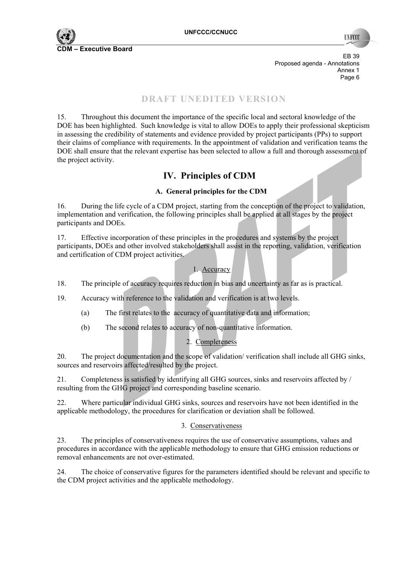

**TIN FCC** 

EB 39 Proposed agenda - Annotations Annex 1 e de la provincia de la provincia de la provincia de la provincia de la provincia de la provincia de la provincia de la provincia de la provincia de la provincia de la provincia de la provincia de la provincia de la provin

# **DRAFT UNEDITED VERSION**

15. Throughout this document the importance of the specific local and sectoral knowledge of the DOE has been highlighted. Such knowledge is vital to allow DOEs to apply their professional skepticism in assessing the credibility of statements and evidence provided by project participants (PPs) to support their claims of compliance with requirements. In the appointment of validation and verification teams the DOE shall ensure that the relevant expertise has been selected to allow a full and thorough assessment of the project activity.

# **IV. Principles of CDM**

## **A. General principles for the CDM**

16. During the life cycle of a CDM project, starting from the conception of the project to validation, implementation and verification, the following principles shall be applied at all stages by the project participants and DOEs.

17. Effective incorporation of these principles in the procedures and systems by the project participants, DOEs and other involved stakeholders shall assist in the reporting, validation, verification and certification of CDM project activities.

## 1. Accuracy

18. The principle of accuracy requires reduction in bias and uncertainty as far as is practical.

19. Accuracy with reference to the validation and verification is at two levels.

- (a) The first relates to the accuracy of quantitative data and information;
- (b) The second relates to accuracy of non-quantitative information.

## 2. Completeness

20. The project documentation and the scope of validation/ verification shall include all GHG sinks, sources and reservoirs affected/resulted by the project.

21. Completeness is satisfied by identifying all GHG sources, sinks and reservoirs affected by / resulting from the GHG project and corresponding baseline scenario.

22. Where particular individual GHG sinks, sources and reservoirs have not been identified in the applicable methodology, the procedures for clarification or deviation shall be followed.

#### 3. Conservativeness

23. The principles of conservativeness requires the use of conservative assumptions, values and procedures in accordance with the applicable methodology to ensure that GHG emission reductions or removal enhancements are not over-estimated.

24. The choice of conservative figures for the parameters identified should be relevant and specific to the CDM project activities and the applicable methodology.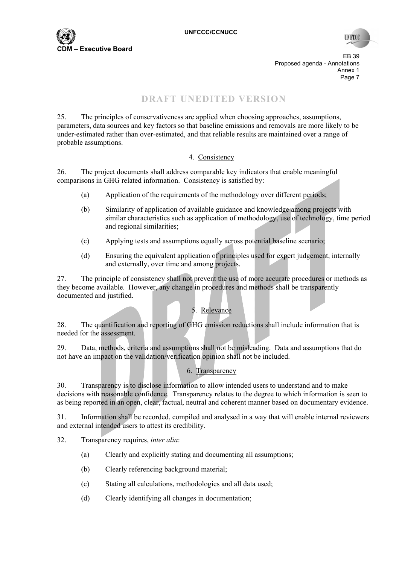EB 39 Proposed agenda - Annotations Annex 1 Page 7 (1999) 2002 12:30 to 1999 2002 12:30 to 1999 2002 12:30 12:30 12:30 12:30 12:30 12:30 12:30 12:30 12:30

# **DRAFT UNEDITED VERSION**

25. The principles of conservativeness are applied when choosing approaches, assumptions, parameters, data sources and key factors so that baseline emissions and removals are more likely to be under-estimated rather than over-estimated, and that reliable results are maintained over a range of probable assumptions.

#### 4. Consistency

26. The project documents shall address comparable key indicators that enable meaningful comparisons in GHG related information. Consistency is satisfied by:

- (a) Application of the requirements of the methodology over different periods;
- (b) Similarity of application of available guidance and knowledge among projects with similar characteristics such as application of methodology, use of technology, time period and regional similarities;
- (c) Applying tests and assumptions equally across potential baseline scenario;
- (d) Ensuring the equivalent application of principles used for expert judgement, internally and externally, over time and among projects.

27. The principle of consistency shall not prevent the use of more accurate procedures or methods as they become available. However, any change in procedures and methods shall be transparently documented and justified.

# 5. Relevance

28. The quantification and reporting of GHG emission reductions shall include information that is needed for the assessment.

29. Data, methods, criteria and assumptions shall not be misleading. Data and assumptions that do not have an impact on the validation/verification opinion shall not be included.

## 6. Transparency

30. Transparency is to disclose information to allow intended users to understand and to make decisions with reasonable confidence. Transparency relates to the degree to which information is seen to as being reported in an open, clear, factual, neutral and coherent manner based on documentary evidence.

31. Information shall be recorded, compiled and analysed in a way that will enable internal reviewers and external intended users to attest its credibility.

32. Transparency requires, *inter alia*:

- (a) Clearly and explicitly stating and documenting all assumptions;
- (b) Clearly referencing background material;
- (c) Stating all calculations, methodologies and all data used;
- (d) Clearly identifying all changes in documentation;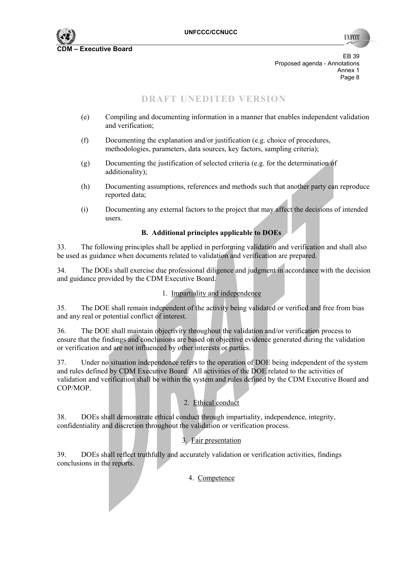

**INFO** 

EB 39 Proposed agenda - Annotations Annex 1 e de la provincia de la provincia de la provincia de la provincia de la provincia de la provincia de la provincia de la provincia de la provincia de la provincia de la provincia de la provincia de la provincia de la provin

# **DRAFT UNEDITED VERSION**

- (e) Compiling and documenting information in a manner that enables independent validation and verification;
- (f) Documenting the explanation and/or justification (e.g. choice of procedures, methodologies, parameters, data sources, key factors, sampling criteria);
- (g) Documenting the justification of selected criteria (e.g. for the determination of additionality);
- (h) Documenting assumptions, references and methods such that another party can reproduce reported data;
- (i) Documenting any external factors to the project that may affect the decisions of intended users.

## **B. Additional principles applicable to DOEs**

33. The following principles shall be applied in performing validation and verification and shall also be used as guidance when documents related to validation and verification are prepared.

34. The DOEs shall exercise due professional diligence and judgment in accordance with the decision and guidance provided by the CDM Executive Board.

#### 1. Impartiality and independence

35. The DOE shall remain independent of the activity being validated or verified and free from bias and any real or potential conflict of interest.

36. The DOE shall maintain objectivity throughout the validation and/or verification process to ensure that the findings and conclusions are based on objective evidence generated during the validation or verification and are not influenced by other interests or parties.

37. Under no situation independence refers to the operation of DOE being independent of the system and rules defined by CDM Executive Board. All activities of the DOE related to the activities of validation and verification shall be within the system and rules defined by the CDM Executive Board and COP/MOP.

## 2. Ethical conduct

38. DOEs shall demonstrate ethical conduct through impartiality, independence, integrity, confidentiality and discretion throughout the validation or verification process.

## 3. Fair presentation

39. DOEs shall reflect truthfully and accurately validation or verification activities, findings conclusions in the reports.

#### 4. Competence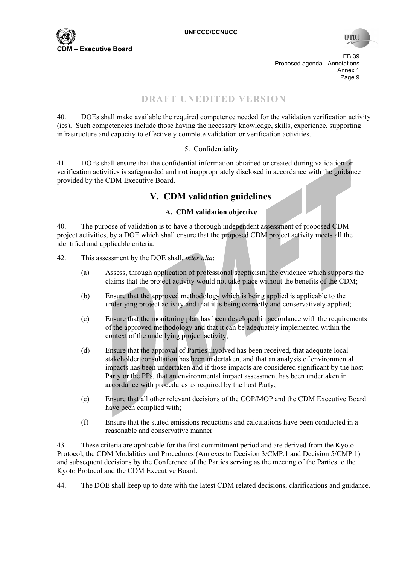

**TIN FCC** 

EB 39 Proposed agenda - Annotations Annex 1 e de la provincia de la provincia de la provincia de la provincia de la provincia de la provincia de la provincia de la provincia de la provincia de la provincia de la provincia de la provincia de la provincia de la provin

## **DRAFT UNEDITED VERSION**

40. DOEs shall make available the required competence needed for the validation verification activity (ies). Such competencies include those having the necessary knowledge, skills, experience, supporting infrastructure and capacity to effectively complete validation or verification activities.

#### 5. Confidentiality

41. DOEs shall ensure that the confidential information obtained or created during validation or verification activities is safeguarded and not inappropriately disclosed in accordance with the guidance provided by the CDM Executive Board.

# **V. CDM validation guidelines**

#### **A. CDM validation objective**

40. The purpose of validation is to have a thorough independent assessment of proposed CDM project activities, by a DOE which shall ensure that the proposed CDM project activity meets all the identified and applicable criteria.

- 42. This assessment by the DOE shall, *inter alia*:
	- (a) Assess, through application of professional scepticism, the evidence which supports the claims that the project activity would not take place without the benefits of the CDM;
	- (b) Ensure that the approved methodology which is being applied is applicable to the underlying project activity and that it is being correctly and conservatively applied;
	- (c) Ensure that the monitoring plan has been developed in accordance with the requirements of the approved methodology and that it can be adequately implemented within the context of the underlying project activity;
	- (d) Ensure that the approval of Parties involved has been received, that adequate local stakeholder consultation has been undertaken, and that an analysis of environmental impacts has been undertaken and if those impacts are considered significant by the host Party or the PPs, that an environmental impact assessment has been undertaken in accordance with procedures as required by the host Party;
	- (e) Ensure that all other relevant decisions of the COP/MOP and the CDM Executive Board have been complied with;
	- (f) Ensure that the stated emissions reductions and calculations have been conducted in a reasonable and conservative manner

43. These criteria are applicable for the first commitment period and are derived from the Kyoto Protocol, the CDM Modalities and Procedures (Annexes to Decision 3/CMP.1 and Decision 5/CMP.1) and subsequent decisions by the Conference of the Parties serving as the meeting of the Parties to the Kyoto Protocol and the CDM Executive Board.

44. The DOE shall keep up to date with the latest CDM related decisions, clarifications and guidance.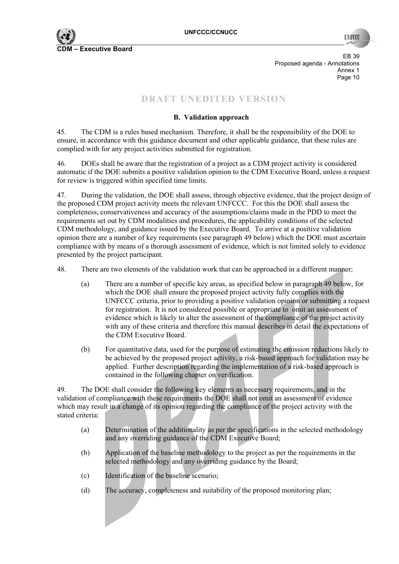

EB 39 Proposed agenda - Annotations Annex 1<br>Page 10 Page 10

# **DRAFT UNEDITED VERSION**

## **B. Validation approach**

45. The CDM is a rules based mechanism. Therefore, it shall be the responsibility of the DOE to ensure, in accordance with this guidance document and other applicable guidance, that these rules are complied with for any project activities submitted for registration.

46. DOEs shall be aware that the registration of a project as a CDM project activity is considered automatic if the DOE submits a positive validation opinion to the CDM Executive Board, unless a request for review is triggered within specified time limits.

47. During the validation, the DOE shall assess, through objective evidence, that the project design of the proposed CDM project activity meets the relevant UNFCCC. For this the DOE shall assess the completeness, conservativeness and accuracy of the assumptions/claims made in the PDD to meet the requirements set out by CDM modalities and procedures, the applicability conditions of the selected CDM methodology, and guidance issued by the Executive Board. To arrive at a positive validation opinion there are a number of key requirements (see paragraph 49 below) which the DOE must ascertain compliance with by means of a thorough assessment of evidence, which is not limited solely to evidence presented by the project participant.

48. There are two elements of the validation work that can be approached in a different manner;

- (a) There are a number of specific key areas, as specified below in paragraph 49 below, for which the DOE shall ensure the proposed project activity fully complies with the UNFCCC criteria, prior to providing a positive validation opinion or submitting a request for registration. It is not considered possible or appropriate to omit an assessment of evidence which is likely to alter the assessment of the compliance of the project activity with any of these criteria and therefore this manual describes in detail the expectations of the CDM Executive Board.
- (b) For quantitative data, used for the purpose of estimating the emission reductions likely to be achieved by the proposed project activity, a risk-based approach for validation may be applied. Further description regarding the implementation of a risk-based approach is contained in the following chapter on verification.

49. The DOE shall consider the following key elements as necessary requirements, and in the validation of compliance with these requirements the DOE shall not omit an assessment of evidence which may result in a change of its opinion regarding the compliance of the project activity with the stated criteria<sup>.</sup>

- (a) Determination of the additionality as per the specifications in the selected methodology and any overriding guidance of the CDM Executive Board;
- (b) Application of the baseline methodology to the project as per the requirements in the selected methodology and any overriding guidance by the Board;
- (c) Identification of the baseline scenario;
- (d) The accuracy, completeness and suitability of the proposed monitoring plan;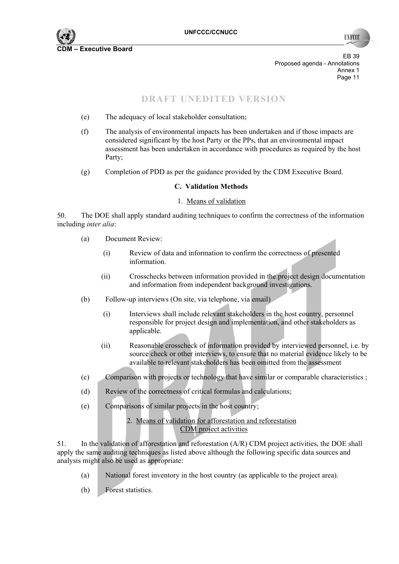

**TIN FCC** 

EB 39 Proposed agenda - Annotations Annex 1<br>Page 11 Page 11 Page 11 Page 11 Page 11 Page 11 Page 11 Page 11 Page 11 Page 11 Page 11 Page 11 Page 11 Page 11 Page 11

# **DRAFT UNEDITED VERSION**

- (e) The adequacy of local stakeholder consultation;
- (f) The analysis of environmental impacts has been undertaken and if those impacts are considered significant by the host Party or the PPs, that an environmental impact assessment has been undertaken in accordance with procedures as required by the host Party;
- (g) Completion of PDD as per the guidance provided by the CDM Executive Board.

#### **C. Validation Methods**

#### 1. Means of validation

50. The DOE shall apply standard auditing techniques to confirm the correctness of the information including *inter alia*:

- (a) Document Review:
	- (i) Review of data and information to confirm the correctness of presented information.
	- (ii) Crosschecks between information provided in the project design documentation and information from independent background investigations.
- (b) Follow-up interviews (On site, via telephone, via email)
	- (i) Interviews shall include relevant stakeholders in the host country, personnel responsible for project design and implementation, and other stakeholders as applicable.
	- (ii) Reasonable crosscheck of information provided by interviewed personnel, i.e. by source check or other interviews, to ensure that no material evidence likely to be available to relevant stakeholders has been omitted from the assessment
- (c) Comparison with projects or technology that have similar or comparable characteristics ;
- (d) Review of the correctness of critical formulas and calculations;
- (e) Comparisons of similar projects in the host country;

#### 2. Means of validation for afforestation and reforestation CDM project activities

51. In the validation of afforestation and reforestation (A/R) CDM project activities, the DOE shall apply the same auditing techniques as listed above although the following specific data sources and analysis might also be used as appropriate:

- (a) National forest inventory in the host country (as applicable to the project area).
- (b) Forest statistics.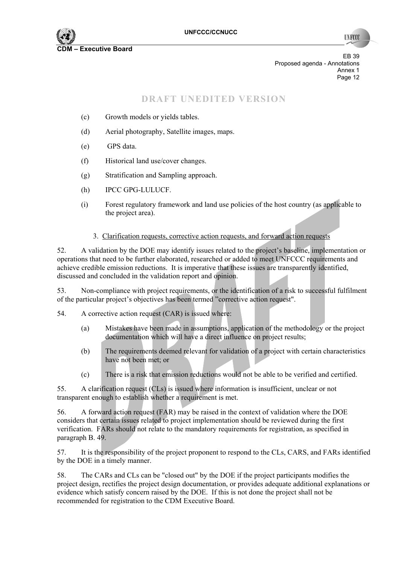

**TIN FCC** 

EB 39 Proposed agenda - Annotations Annex 1<br>Page 12 Page 12

## **DRAFT UNEDITED VERSION**

- (c) Growth models or yields tables.
- (d) Aerial photography, Satellite images, maps.
- (e) GPS data.
- (f) Historical land use/cover changes.
- (g) Stratification and Sampling approach.
- (h) IPCC GPG-LULUCF.
- (i) Forest regulatory framework and land use policies of the host country (as applicable to the project area).

#### 3. Clarification requests, corrective action requests, and forward action requests

52. A validation by the DOE may identify issues related to the project's baseline, implementation or operations that need to be further elaborated, researched or added to meet UNFCCC requirements and achieve credible emission reductions. It is imperative that these issues are transparently identified, discussed and concluded in the validation report and opinion.

53. Non-compliance with project requirements, or the identification of a risk to successful fulfilment of the particular project's objectives has been termed "corrective action request".

- 54. A corrective action request (CAR) is issued where:
	- (a) Mistakes have been made in assumptions, application of the methodology or the project documentation which will have a direct influence on project results;
	- (b) The requirements deemed relevant for validation of a project with certain characteristics have not been met; or
	- (c) There is a risk that emission reductions would not be able to be verified and certified.

55. A clarification request (CLs) is issued where information is insufficient, unclear or not transparent enough to establish whether a requirement is met.

56. A forward action request (FAR) may be raised in the context of validation where the DOE considers that certain issues related to project implementation should be reviewed during the first verification. FARs should not relate to the mandatory requirements for registration, as specified in paragraph B. 49.

57. It is the responsibility of the project proponent to respond to the CLs, CARS, and FARs identified by the DOE in a timely manner.

58. The CARs and CLs can be "closed out" by the DOE if the project participants modifies the project design, rectifies the project design documentation, or provides adequate additional explanations or evidence which satisfy concern raised by the DOE. If this is not done the project shall not be recommended for registration to the CDM Executive Board.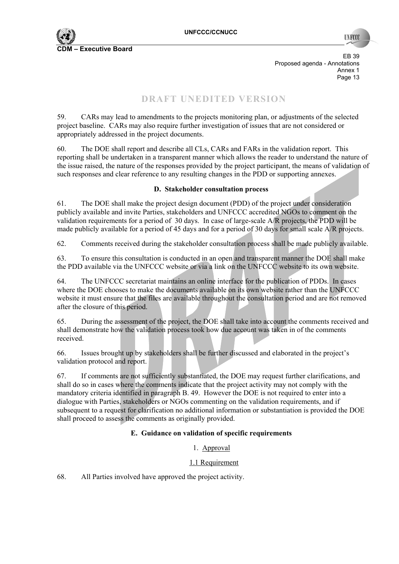EB 39 Proposed agenda - Annotations Annex 1<br>Page 13 **Page 13** 

# **DRAFT UNEDITED VERSION**

59. CARs may lead to amendments to the projects monitoring plan, or adjustments of the selected project baseline. CARs may also require further investigation of issues that are not considered or appropriately addressed in the project documents.

60. The DOE shall report and describe all CLs, CARs and FARs in the validation report. This reporting shall be undertaken in a transparent manner which allows the reader to understand the nature of the issue raised, the nature of the responses provided by the project participant, the means of validation of such responses and clear reference to any resulting changes in the PDD or supporting annexes.

#### **D. Stakeholder consultation process**

61. The DOE shall make the project design document (PDD) of the project under consideration publicly available and invite Parties, stakeholders and UNFCCC accredited NGOs to comment on the validation requirements for a period of 30 days. In case of large-scale A/R projects, the PDD will be made publicly available for a period of 45 days and for a period of 30 days for small scale A/R projects.

62. Comments received during the stakeholder consultation process shall be made publicly available.

63. To ensure this consultation is conducted in an open and transparent manner the DOE shall make the PDD available via the UNFCCC website or via a link on the UNFCCC website to its own website.

64. The UNFCCC secretariat maintains an online interface for the publication of PDDs. In cases where the DOE chooses to make the documents available on its own website rather than the UNFCCC website it must ensure that the files are available throughout the consultation period and are not removed after the closure of this period.

65. During the assessment of the project, the DOE shall take into account the comments received and shall demonstrate how the validation process took how due account was taken in of the comments received.

66. Issues brought up by stakeholders shall be further discussed and elaborated in the project's validation protocol and report.

67. If comments are not sufficiently substantiated, the DOE may request further clarifications, and shall do so in cases where the comments indicate that the project activity may not comply with the mandatory criteria identified in paragraph B. 49. However the DOE is not required to enter into a dialogue with Parties, stakeholders or NGOs commenting on the validation requirements, and if subsequent to a request for clarification no additional information or substantiation is provided the DOE shall proceed to assess the comments as originally provided.

#### **E. Guidance on validation of specific requirements**

#### 1. Approval

#### 1.1 Requirement

68. All Parties involved have approved the project activity.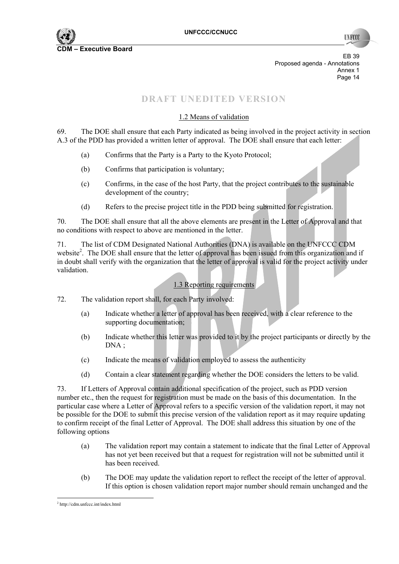

**TIN FCC** 

EB 39 Proposed agenda - Annotations Annex 1<br>Page 14 Page 14

# **DRAFT UNEDITED VERSION**

## 1.2 Means of validation

69. The DOE shall ensure that each Party indicated as being involved in the project activity in section A.3 of the PDD has provided a written letter of approval. The DOE shall ensure that each letter:

- (a) Confirms that the Party is a Party to the Kyoto Protocol;
- (b) Confirms that participation is voluntary;
- (c) Confirms, in the case of the host Party, that the project contributes to the sustainable development of the country;
- (d) Refers to the precise project title in the PDD being submitted for registration.

70. The DOE shall ensure that all the above elements are present in the Letter of Approval and that no conditions with respect to above are mentioned in the letter.

71. The list of CDM Designated National Authorities (DNA) is available on the UNFCCC CDM website<sup>2</sup>. The DOE shall ensure that the letter of approval has been issued from this organization and if in doubt shall verify with the organization that the letter of approval is valid for the project activity under validation.

## 1.3 Reporting requirements

72. The validation report shall, for each Party involved:

- (a) Indicate whether a letter of approval has been received, with a clear reference to the supporting documentation;
- (b) Indicate whether this letter was provided to it by the project participants or directly by the DNA :
- (c) Indicate the means of validation employed to assess the authenticity
- (d) Contain a clear statement regarding whether the DOE considers the letters to be valid.

73. If Letters of Approval contain additional specification of the project, such as PDD version number etc., then the request for registration must be made on the basis of this documentation. In the particular case where a Letter of Approval refers to a specific version of the validation report, it may not be possible for the DOE to submit this precise version of the validation report as it may require updating to confirm receipt of the final Letter of Approval. The DOE shall address this situation by one of the following options

- (a) The validation report may contain a statement to indicate that the final Letter of Approval has not yet been received but that a request for registration will not be submitted until it has been received.
- (b) The DOE may update the validation report to reflect the receipt of the letter of approval. If this option is chosen validation report major number should remain unchanged and the

 2 http://cdm.unfccc.int/index.html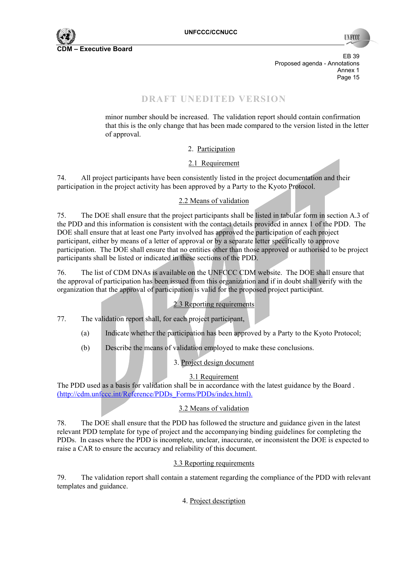

**INFOX** 

EB 39 Proposed agenda - Annotations Annex 1<br>Page 15 Page 15

# **DRAFT UNEDITED VERSION**

minor number should be increased. The validation report should contain confirmation that this is the only change that has been made compared to the version listed in the letter of approval.

2. Participation

#### 2.1 Requirement

74. All project participants have been consistently listed in the project documentation and their participation in the project activity has been approved by a Party to the Kyoto Protocol.

#### 2.2 Means of validation

75. The DOE shall ensure that the project participants shall be listed in tabular form in section A.3 of the PDD and this information is consistent with the contact details provided in annex 1 of the PDD. The DOE shall ensure that at least one Party involved has approved the participation of each project participant, either by means of a letter of approval or by a separate letter specifically to approve participation. The DOE shall ensure that no entities other than those approved or authorised to be project participants shall be listed or indicated in these sections of the PDD.

76. The list of CDM DNAs is available on the UNFCCC CDM website. The DOE shall ensure that the approval of participation has been issued from this organization and if in doubt shall verify with the organization that the approval of participation is valid for the proposed project participant.

#### 2.3 Reporting requirements

77. The validation report shall, for each project participant,

- (a) Indicate whether the participation has been approved by a Party to the Kyoto Protocol;
- (b) Describe the means of validation employed to make these conclusions.

## 3. Project design document

#### 3.1 Requirement

The PDD used as a basis for validation shall be in accordance with the latest guidance by the Board . (http://cdm.unfccc.int/Reference/PDDs\_Forms/PDDs/index.html).

## 3.2 Means of validation

78. The DOE shall ensure that the PDD has followed the structure and guidance given in the latest relevant PDD template for type of project and the accompanying binding guidelines for completing the PDDs. In cases where the PDD is incomplete, unclear, inaccurate, or inconsistent the DOE is expected to raise a CAR to ensure the accuracy and reliability of this document.

#### 3.3 Reporting requirements

79. The validation report shall contain a statement regarding the compliance of the PDD with relevant templates and guidance.

#### 4. Project description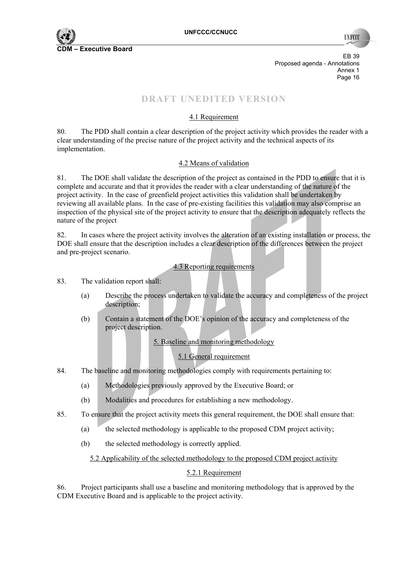

**INFCC** 

EB 39 Proposed agenda - Annotations Annex 1<br>Page 16 Page 16

# **DRAFT UNEDITED VERSION**

## 4.1 Requirement

80. The PDD shall contain a clear description of the project activity which provides the reader with a clear understanding of the precise nature of the project activity and the technical aspects of its implementation.

## 4.2 Means of validation

81. The DOE shall validate the description of the project as contained in the PDD to ensure that it is complete and accurate and that it provides the reader with a clear understanding of the nature of the project activity. In the case of greenfield project activities this validation shall be undertaken by reviewing all available plans. In the case of pre-existing facilities this validation may also comprise an inspection of the physical site of the project activity to ensure that the description adequately reflects the nature of the project

82. In cases where the project activity involves the alteration of an existing installation or process, the DOE shall ensure that the description includes a clear description of the differences between the project and pre-project scenario.

#### 4.3 Reporting requirements

83. The validation report shall:

- (a) Describe the process undertaken to validate the accuracy and completeness of the project description;
- (b) Contain a statement of the DOE's opinion of the accuracy and completeness of the project description.

5. Baseline and monitoring methodology

## 5.1 General requirement

- 84. The baseline and monitoring methodologies comply with requirements pertaining to:
	- (a) Methodologies previously approved by the Executive Board; or
	- (b) Modalities and procedures for establishing a new methodology.
- 85. To ensure that the project activity meets this general requirement, the DOE shall ensure that:
	- (a) the selected methodology is applicable to the proposed CDM project activity;
	- (b) the selected methodology is correctly applied.

## 5.2 Applicability of the selected methodology to the proposed CDM project activity

## 5.2.1 Requirement

86. Project participants shall use a baseline and monitoring methodology that is approved by the CDM Executive Board and is applicable to the project activity.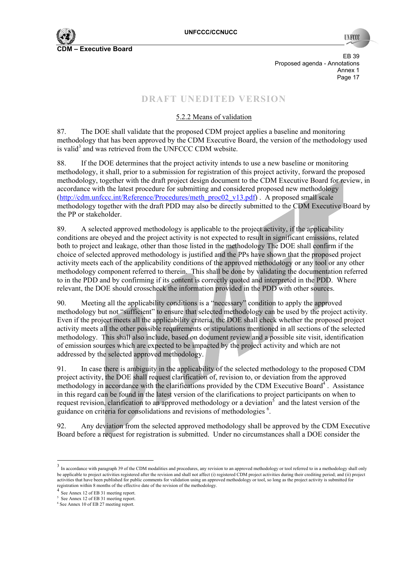

EB 39 Proposed agenda - Annotations Annex 1 Page 17

# **DRAFT UNEDITED VERSION**

## 5.2.2 Means of validation

87. The DOE shall validate that the proposed CDM project applies a baseline and monitoring methodology that has been approved by the CDM Executive Board, the version of the methodology used is valid<sup>3</sup> and was retrieved from the UNFCCC CDM website.

88. If the DOE determines that the project activity intends to use a new baseline or monitoring methodology, it shall, prior to a submission for registration of this project activity, forward the proposed methodology, together with the draft project design document to the CDM Executive Board for review, in accordance with the latest procedure for submitting and considered proposed new methodology (http://cdm.unfccc.int/Reference/Procedures/meth\_proc02\_v13.pdf) . A proposed small scale methodology together with the draft PDD may also be directly submitted to the CDM Executive Board by the PP or stakeholder.

89. A selected approved methodology is applicable to the project activity, if the applicability conditions are obeyed and the project activity is not expected to result in significant emissions, related both to project and leakage, other than those listed in the methodology The DOE shall confirm if the choice of selected approved methodology is justified and the PPs have shown that the proposed project activity meets each of the applicability conditions of the approved methodology or any tool or any other methodology component referred to therein. This shall be done by validating the documentation referred to in the PDD and by confirming if its content is correctly quoted and interpreted in the PDD. Where relevant, the DOE should crosscheck the information provided in the PDD with other sources.

90. Meeting all the applicability conditions is a "necessary" condition to apply the approved methodology but not "sufficient" to ensure that selected methodology can be used by the project activity. Even if the project meets all the applicability criteria, the DOE shall check whether the proposed project activity meets all the other possible requirements or stipulations mentioned in all sections of the selected methodology. This shall also include, based on document review and a possible site visit, identification of emission sources which are expected to be impacted by the project activity and which are not addressed by the selected approved methodology.

91. In case there is ambiguity in the applicability of the selected methodology to the proposed CDM project activity, the DOE shall request clarification of, revision to, or deviation from the approved methodology in accordance with the clarifications provided by the CDM Executive Board<sup>4</sup>. Assistance in this regard can be found in the latest version of the clarifications to project participants on when to request revision, clarification to an approved methodology or a deviation<sup>5</sup> and the latest version of the guidance on criteria for consolidations and revisions of methodologies<sup>6</sup>.

92. Any deviation from the selected approved methodology shall be approved by the CDM Executive Board before a request for registration is submitted. Under no circumstances shall a DOE consider the

 $\overline{a}$ 

<sup>&</sup>lt;sup>3</sup> In accordance with paragraph 39 of the CDM modalities and procedures, any revision to an approved methodology or tool referred to in a methodology shall only be applicable to project activities registered after the revision and shall not affect (i) registered CDM project activities during their crediting period; and (ii) project activities that have been published for public comments for validation using an approved methodology or tool, so long as the project activity is submitted for registration within 8 months of the effective date of the revision of the methodology.

See Annex 12 of EB 31 meeting report.

<sup>5</sup> See Annex 12 of EB 31 meeting report.

<sup>6</sup> See Annex 10 of EB 27 meeting report.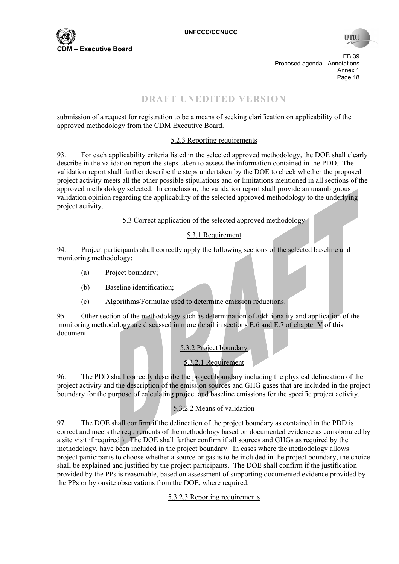

**INFOC** 

EB 39 Proposed agenda - Annotations Annex 1<br>Page 18 Page 18 Page 18

# **DRAFT UNEDITED VERSION**

submission of a request for registration to be a means of seeking clarification on applicability of the approved methodology from the CDM Executive Board.

#### 5.2.3 Reporting requirements

93. For each applicability criteria listed in the selected approved methodology, the DOE shall clearly describe in the validation report the steps taken to assess the information contained in the PDD. The validation report shall further describe the steps undertaken by the DOE to check whether the proposed project activity meets all the other possible stipulations and or limitations mentioned in all sections of the approved methodology selected. In conclusion, the validation report shall provide an unambiguous validation opinion regarding the applicability of the selected approved methodology to the underlying project activity.

#### 5.3 Correct application of the selected approved methodology

#### 5.3.1 Requirement

94. Project participants shall correctly apply the following sections of the selected baseline and monitoring methodology:

- (a) Project boundary;
- (b) Baseline identification;
- (c) Algorithms/Formulae used to determine emission reductions.

95. Other section of the methodology such as determination of additionality and application of the monitoring methodology are discussed in more detail in sections E.6 and E.7 of chapter V of this document.

#### 5.3.2 Project boundary

## 5.3.2.1 Requirement

96. The PDD shall correctly describe the project boundary including the physical delineation of the project activity and the description of the emission sources and GHG gases that are included in the project boundary for the purpose of calculating project and baseline emissions for the specific project activity.

## 5.3.2.2 Means of validation

97. The DOE shall confirm if the delineation of the project boundary as contained in the PDD is correct and meets the requirements of the methodology based on documented evidence as corroborated by a site visit if required ). The DOE shall further confirm if all sources and GHGs as required by the methodology, have been included in the project boundary. In cases where the methodology allows project participants to choose whether a source or gas is to be included in the project boundary, the choice shall be explained and justified by the project participants. The DOE shall confirm if the justification provided by the PPs is reasonable, based on assessment of supporting documented evidence provided by the PPs or by onsite observations from the DOE, where required.

#### 5.3.2.3 Reporting requirements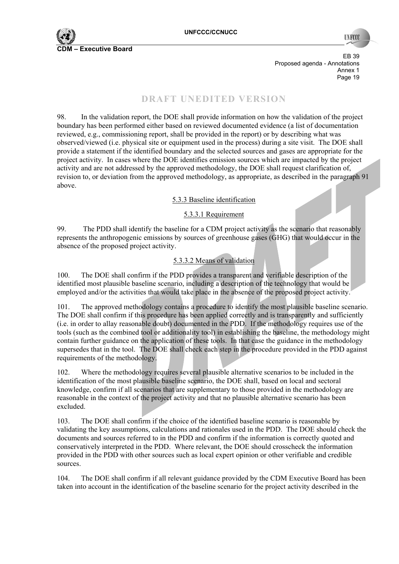

EB 39 Proposed agenda - Annotations Annex 1<br>Page 19 Page 19

## **DRAFT UNEDITED VERSION**

98. In the validation report, the DOE shall provide information on how the validation of the project boundary has been performed either based on reviewed documented evidence (a list of documentation reviewed, e.g., commissioning report, shall be provided in the report) or by describing what was observed/viewed (i.e. physical site or equipment used in the process) during a site visit. The DOE shall provide a statement if the identified boundary and the selected sources and gases are appropriate for the project activity. In cases where the DOE identifies emission sources which are impacted by the project activity and are not addressed by the approved methodology, the DOE shall request clarification of, revision to, or deviation from the approved methodology, as appropriate, as described in the paragraph 91 above.

5.3.3 Baseline identification

#### 5.3.3.1 Requirement

99. The PDD shall identify the baseline for a CDM project activity as the scenario that reasonably represents the anthropogenic emissions by sources of greenhouse gases (GHG) that would occur in the absence of the proposed project activity.

#### 5.3.3.2 Means of validation

100. The DOE shall confirm if the PDD provides a transparent and verifiable description of the identified most plausible baseline scenario, including a description of the technology that would be employed and/or the activities that would take place in the absence of the proposed project activity.

101. The approved methodology contains a procedure to identify the most plausible baseline scenario. The DOE shall confirm if this procedure has been applied correctly and is transparently and sufficiently (i.e. in order to allay reasonable doubt) documented in the PDD. If the methodology requires use of the tools (such as the combined tool or additionality tool) in establishing the baseline, the methodology might contain further guidance on the application of these tools. In that case the guidance in the methodology supersedes that in the tool. The DOE shall check each step in the procedure provided in the PDD against requirements of the methodology.

102. Where the methodology requires several plausible alternative scenarios to be included in the identification of the most plausible baseline scenario, the DOE shall, based on local and sectoral knowledge, confirm if all scenarios that are supplementary to those provided in the methodology are reasonable in the context of the project activity and that no plausible alternative scenario has been excluded.

103. The DOE shall confirm if the choice of the identified baseline scenario is reasonable by validating the key assumptions, calculations and rationales used in the PDD. The DOE should check the documents and sources referred to in the PDD and confirm if the information is correctly quoted and conservatively interpreted in the PDD. Where relevant, the DOE should crosscheck the information provided in the PDD with other sources such as local expert opinion or other verifiable and credible sources.

104. The DOE shall confirm if all relevant guidance provided by the CDM Executive Board has been taken into account in the identification of the baseline scenario for the project activity described in the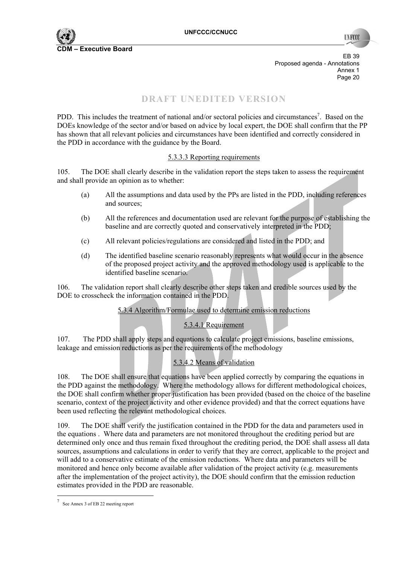

**INFO** 

EB 39 Proposed agenda - Annotations Annex 1<br>Page 20 Page 20 Page 20 Page 20 Page 20 Page 20 Page 20 Page 20 Page 20 Page 20 Page 20

# **DRAFT UNEDITED VERSION**

PDD. This includes the treatment of national and/or sectoral policies and circumstances<sup>7</sup>. Based on the DOEs knowledge of the sector and/or based on advice by local expert, the DOE shall confirm that the PP has shown that all relevant policies and circumstances have been identified and correctly considered in the PDD in accordance with the guidance by the Board.

#### 5.3.3.3 Reporting requirements

105. The DOE shall clearly describe in the validation report the steps taken to assess the requirement and shall provide an opinion as to whether:

- (a) All the assumptions and data used by the PPs are listed in the PDD, including references and sources;
- (b) All the references and documentation used are relevant for the purpose of establishing the baseline and are correctly quoted and conservatively interpreted in the PDD;
- (c) All relevant policies/regulations are considered and listed in the PDD; and
- (d) The identified baseline scenario reasonably represents what would occur in the absence of the proposed project activity and the approved methodology used is applicable to the identified baseline scenario.

106. The validation report shall clearly describe other steps taken and credible sources used by the DOE to crosscheck the information contained in the PDD.

## 5.3.4 Algorithm/Formulae used to determine emission reductions

## 5.3.4.1 Requirement

107. The PDD shall apply steps and equations to calculate project emissions, baseline emissions, leakage and emission reductions as per the requirements of the methodology

## 5.3.4.2 Means of validation

108. The DOE shall ensure that equations have been applied correctly by comparing the equations in the PDD against the methodology. Where the methodology allows for different methodological choices, the DOE shall confirm whether proper justification has been provided (based on the choice of the baseline scenario, context of the project activity and other evidence provided) and that the correct equations have been used reflecting the relevant methodological choices.

109. The DOE shall verify the justification contained in the PDD for the data and parameters used in the equations . Where data and parameters are not monitored throughout the crediting period but are determined only once and thus remain fixed throughout the crediting period, the DOE shall assess all data sources, assumptions and calculations in order to verify that they are correct, applicable to the project and will add to a conservative estimate of the emission reductions. Where data and parameters will be monitored and hence only become available after validation of the project activity (e.g. measurements after the implementation of the project activity), the DOE should confirm that the emission reduction estimates provided in the PDD are reasonable.

 $\overline{a}$ 

<sup>7</sup> See Annex 3 of EB 22 meeting report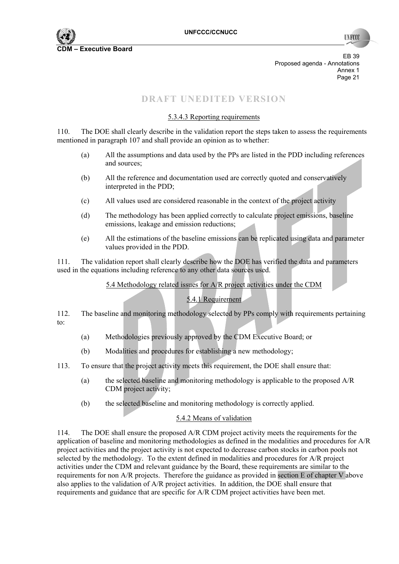

**TIN FCC** 

EB 39 Proposed agenda - Annotations Annex 1<br>Page 21 Page 21 **Page 21** 

# **DRAFT UNEDITED VERSION**

#### 5.3.4.3 Reporting requirements

110. The DOE shall clearly describe in the validation report the steps taken to assess the requirements mentioned in paragraph 107 and shall provide an opinion as to whether:

- (a) All the assumptions and data used by the PPs are listed in the PDD including references and sources;
- (b) All the reference and documentation used are correctly quoted and conservatively interpreted in the PDD;
- (c) All values used are considered reasonable in the context of the project activity
- (d) The methodology has been applied correctly to calculate project emissions, baseline emissions, leakage and emission reductions;
- (e) All the estimations of the baseline emissions can be replicated using data and parameter values provided in the PDD.

111. The validation report shall clearly describe how the DOE has verified the data and parameters used in the equations including reference to any other data sources used.

5.4 Methodology related issues for A/R project activities under the CDM

#### 5.4.1 Requirement

112. The baseline and monitoring methodology selected by PPs comply with requirements pertaining to:

- (a) Methodologies previously approved by the CDM Executive Board; or
- (b) Modalities and procedures for establishing a new methodology;
- 113. To ensure that the project activity meets this requirement, the DOE shall ensure that:
	- (a) the selected baseline and monitoring methodology is applicable to the proposed A/R CDM project activity;
	- (b) the selected baseline and monitoring methodology is correctly applied.

#### 5.4.2 Means of validation

114. The DOE shall ensure the proposed A/R CDM project activity meets the requirements for the application of baseline and monitoring methodologies as defined in the modalities and procedures for A/R project activities and the project activity is not expected to decrease carbon stocks in carbon pools not selected by the methodology. To the extent defined in modalities and procedures for A/R project activities under the CDM and relevant guidance by the Board, these requirements are similar to the requirements for non A/R projects. Therefore the guidance as provided in section E of chapter V above also applies to the validation of A/R project activities. In addition, the DOE shall ensure that requirements and guidance that are specific for A/R CDM project activities have been met.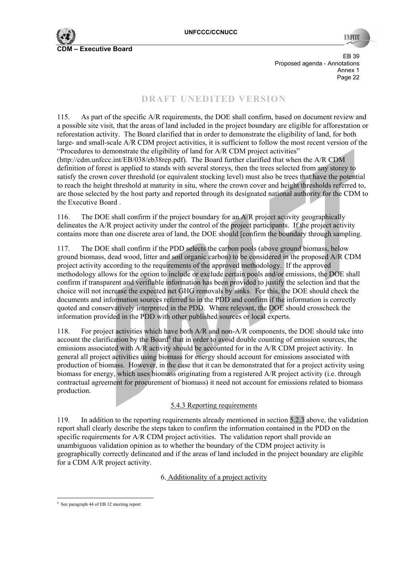**TIVECC** 

EB 39 Proposed agenda - Annotations Annex 1 Page 22 **Page 22** 

# **DRAFT UNEDITED VERSION**

115. As part of the specific A/R requirements, the DOE shall confirm, based on document review and a possible site visit, that the areas of land included in the project boundary are eligible for afforestation or reforestation activity. The Board clarified that in order to demonstrate the eligibility of land, for both large- and small-scale A/R CDM project activities, it is sufficient to follow the most recent version of the "Procedures to demonstrate the eligibility of land for A/R CDM project activities" (http://cdm.unfccc.int/EB/038/eb38rep.pdf). The Board further clarified that when the A/R CDM definition of forest is applied to stands with several storeys, then the trees selected from any storey to satisfy the crown cover threshold (or equivalent stocking level) must also be trees that have the potential to reach the height threshold at maturity in situ, where the crown cover and height thresholds referred to, are those selected by the host party and reported through its designated national authority for the CDM to the Executive Board .

116. The DOE shall confirm if the project boundary for an A/R project activity geographically delineates the A/R project activity under the control of the project participants. If the project activity contains more than one discrete area of land, the DOE should [confirm the boundary through sampling.

117. The DOE shall confirm if the PDD selects the carbon pools (above ground biomass, below ground biomass, dead wood, litter and soil organic carbon) to be considered in the proposed A/R CDM project activity according to the requirements of the approved methodology. If the approved methodology allows for the option to include or exclude certain pools and/or emissions, the DOE shall confirm if transparent and verifiable information has been provided to justify the selection and that the choice will not increase the expected net GHG removals by sinks. For this, the DOE should check the documents and information sources referred to in the PDD and confirm if the information is correctly quoted and conservatively interpreted in the PDD. Where relevant, the DOE should crosscheck the information provided in the PDD with other published sources or local experts.

118. For project activities which have both A/R and non-A/R components, the DOE should take into account the clarification by the Board<sup>8</sup> that in order to avoid double counting of emission sources, the emissions associated with A/R activity should be accounted for in the A/R CDM project activity. In general all project activities using biomass for energy should account for emissions associated with production of biomass. However, in the case that it can be demonstrated that for a project activity using biomass for energy, which uses biomass originating from a registered A/R project activity (i.e. through contractual agreement for procurement of biomass) it need not account for emissions related to biomass production.

#### 5.4.3 Reporting requirements

119. In addition to the reporting requirements already mentioned in section 5.2.3 above, the validation report shall clearly describe the steps taken to confirm the information contained in the PDD on the specific requirements for A/R CDM project activities. The validation report shall provide an unambiguous validation opinion as to whether the boundary of the CDM project activity is geographically correctly delineated and if the areas of land included in the project boundary are eligible for a CDM A/R project activity.

6. Additionality of a project activity

 8 See paragraph 44 of EB 32 meeting report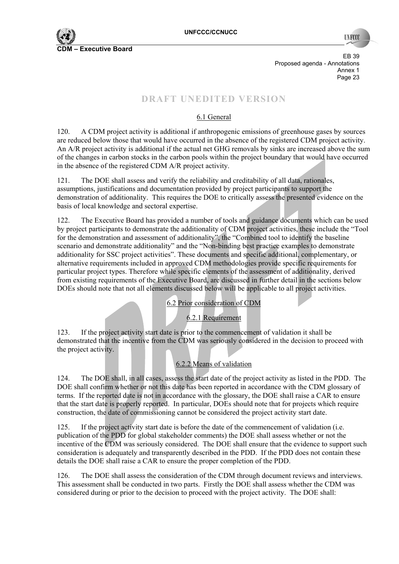

EB 39 Proposed agenda - Annotations Annex 1<br>Page 23 Page 23 **Page 23** 

# **DRAFT UNEDITED VERSION**

## 6.1 General

120. A CDM project activity is additional if anthropogenic emissions of greenhouse gases by sources are reduced below those that would have occurred in the absence of the registered CDM project activity. An A/R project activity is additional if the actual net GHG removals by sinks are increased above the sum of the changes in carbon stocks in the carbon pools within the project boundary that would have occurred in the absence of the registered CDM A/R project activity.

121. The DOE shall assess and verify the reliability and creditability of all data, rationales, assumptions, justifications and documentation provided by project participants to support the demonstration of additionality. This requires the DOE to critically assess the presented evidence on the basis of local knowledge and sectoral expertise.

122. The Executive Board has provided a number of tools and guidance documents which can be used by project participants to demonstrate the additionality of CDM project activities, these include the "Tool for the demonstration and assessment of additionality", the "Combined tool to identify the baseline scenario and demonstrate additionality" and the "Non-binding best practice examples to demonstrate additionality for SSC project activities". These documents and specific additional, complementary, or alternative requirements included in approved CDM methodologies provide specific requirements for particular project types. Therefore while specific elements of the assessment of additionality, derived from existing requirements of the Executive Board, are discussed in further detail in the sections below DOEs should note that not all elements discussed below will be applicable to all project activities.

6.2 Prior consideration of CDM

6.2.1 Requirement

123. If the project activity start date is prior to the commencement of validation it shall be demonstrated that the incentive from the CDM was seriously considered in the decision to proceed with the project activity.

## 6.2.2 Means of validation

124. The DOE shall, in all cases, assess the start date of the project activity as listed in the PDD. The DOE shall confirm whether or not this date has been reported in accordance with the CDM glossary of terms. If the reported date is not in accordance with the glossary, the DOE shall raise a CAR to ensure that the start date is properly reported. In particular, DOEs should note that for projects which require construction, the date of commissioning cannot be considered the project activity start date.

125. If the project activity start date is before the date of the commencement of validation (i.e. publication of the PDD for global stakeholder comments) the DOE shall assess whether or not the incentive of the CDM was seriously considered. The DOE shall ensure that the evidence to support such consideration is adequately and transparently described in the PDD. If the PDD does not contain these details the DOE shall raise a CAR to ensure the proper completion of the PDD.

126. The DOE shall assess the consideration of the CDM through document reviews and interviews. This assessment shall be conducted in two parts. Firstly the DOE shall assess whether the CDM was considered during or prior to the decision to proceed with the project activity. The DOE shall: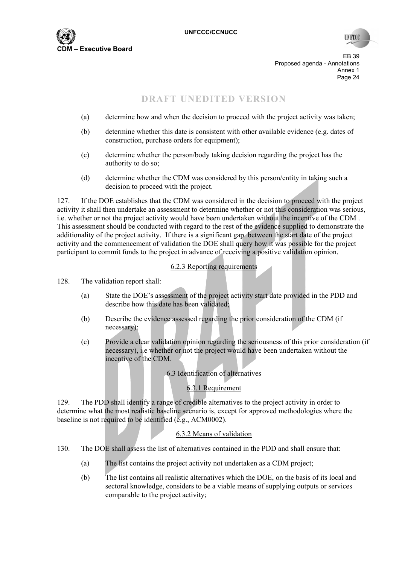

**TIN FCC** 

EB 39 Proposed agenda - Annotations Annex 1<br>Page 24 Page 24 and the state of the state of the state of the state of the state of the state of the state of the state of the state of the state of the state of the state of the state of the state of the state of the state of th

# **DRAFT UNEDITED VERSION**

- (a) determine how and when the decision to proceed with the project activity was taken;
- (b) determine whether this date is consistent with other available evidence (e.g. dates of construction, purchase orders for equipment);
- (c) determine whether the person/body taking decision regarding the project has the authority to do so;
- (d) determine whether the CDM was considered by this person/entity in taking such a decision to proceed with the project.

127. If the DOE establishes that the CDM was considered in the decision to proceed with the project activity it shall then undertake an assessment to determine whether or not this consideration was serious, i.e. whether or not the project activity would have been undertaken without the incentive of the CDM . This assessment should be conducted with regard to the rest of the evidence supplied to demonstrate the additionality of the project activity. If there is a significant gap between the start date of the project activity and the commencement of validation the DOE shall query how it was possible for the project participant to commit funds to the project in advance of receiving a positive validation opinion.

#### 6.2.3 Reporting requirements

- 128. The validation report shall:
	- (a) State the DOE's assessment of the project activity start date provided in the PDD and describe how this date has been validated;
	- (b) Describe the evidence assessed regarding the prior consideration of the CDM (if necessary);
	- (c) Provide a clear validation opinion regarding the seriousness of this prior consideration (if necessary), i.e whether or not the project would have been undertaken without the incentive of the CDM.

#### 6.3 Identification of alternatives

#### 6.3.1 Requirement

129. The PDD shall identify a range of credible alternatives to the project activity in order to determine what the most realistic baseline scenario is, except for approved methodologies where the baseline is not required to be identified (e.g., ACM0002).

#### 6.3.2 Means of validation

- 130. The DOE shall assess the list of alternatives contained in the PDD and shall ensure that:
	- (a) The list contains the project activity not undertaken as a CDM project;
	- (b) The list contains all realistic alternatives which the DOE, on the basis of its local and sectoral knowledge, considers to be a viable means of supplying outputs or services comparable to the project activity;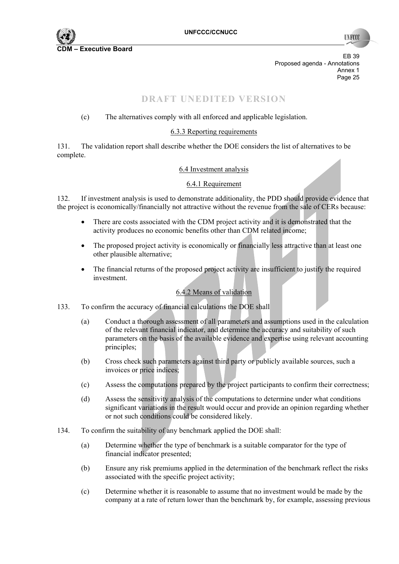

EB 39 Proposed agenda - Annotations Annex 1<br>Page 25 Page 25 and the contract of the contract of the contract of the contract of the contract of the contract of the contract of the contract of the contract of the contract of the contract of the contract of the contract of th

# **DRAFT UNEDITED VERSION**

## (c) The alternatives comply with all enforced and applicable legislation.

#### 6.3.3 Reporting requirements

131. The validation report shall describe whether the DOE considers the list of alternatives to be complete.

#### 6.4 Investment analysis

#### 6.4.1 Requirement

132. If investment analysis is used to demonstrate additionality, the PDD should provide evidence that the project is economically/financially not attractive without the revenue from the sale of CERs because:

- There are costs associated with the CDM project activity and it is demonstrated that the activity produces no economic benefits other than CDM related income;
- The proposed project activity is economically or financially less attractive than at least one other plausible alternative;
- The financial returns of the proposed project activity are insufficient to justify the required investment.

## 6.4.2 Means of validation

- 133. To confirm the accuracy of financial calculations the DOE shall
	- (a) Conduct a thorough assessment of all parameters and assumptions used in the calculation of the relevant financial indicator, and determine the accuracy and suitability of such parameters on the basis of the available evidence and expertise using relevant accounting principles;
	- (b) Cross check such parameters against third party or publicly available sources, such a invoices or price indices;
	- (c) Assess the computations prepared by the project participants to confirm their correctness;
	- (d) Assess the sensitivity analysis of the computations to determine under what conditions significant variations in the result would occur and provide an opinion regarding whether or not such conditions could be considered likely.
- 134. To confirm the suitability of any benchmark applied the DOE shall:
	- (a) Determine whether the type of benchmark is a suitable comparator for the type of financial indicator presented;
	- (b) Ensure any risk premiums applied in the determination of the benchmark reflect the risks associated with the specific project activity;
	- (c) Determine whether it is reasonable to assume that no investment would be made by the company at a rate of return lower than the benchmark by, for example, assessing previous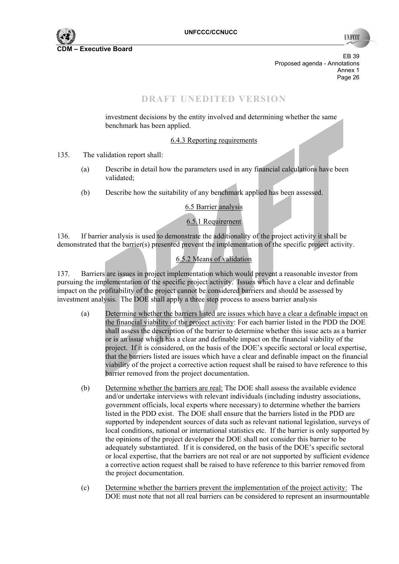

**TIN FCC** 

EB 39 Proposed agenda - Annotations Annex 1<br>Page 26 Page 26 November 26 November 26 November 26 November 26 November 26 November 26 November 26 November 26 November 26

## **DRAFT UNEDITED VERSION**

investment decisions by the entity involved and determining whether the same benchmark has been applied.

#### 6.4.3 Reporting requirements

135. The validation report shall:

- (a) Describe in detail how the parameters used in any financial calculations have been validated;
- (b) Describe how the suitability of any benchmark applied has been assessed.

#### 6.5 Barrier analysis

## 6.5.1 Requirement

136. If barrier analysis is used to demonstrate the additionality of the project activity it shall be demonstrated that the barrier(s) presented prevent the implementation of the specific project activity.

## 6.5.2 Means of validation

137. Barriers are issues in project implementation which would prevent a reasonable investor from pursuing the implementation of the specific project activity. Issues which have a clear and definable impact on the profitability of the project cannot be considered barriers and should be assessed by investment analysis. The DOE shall apply a three step process to assess barrier analysis

- (a) Determine whether the barriers listed are issues which have a clear a definable impact on the financial viability of the project activity: For each barrier listed in the PDD the DOE shall assess the description of the barrier to determine whether this issue acts as a barrier or is an issue which has a clear and definable impact on the financial viability of the project. If it is considered, on the basis of the DOE's specific sectoral or local expertise, that the barriers listed are issues which have a clear and definable impact on the financial viability of the project a corrective action request shall be raised to have reference to this barrier removed from the project documentation.
- (b) Determine whether the barriers are real: The DOE shall assess the available evidence and/or undertake interviews with relevant individuals (including industry associations, government officials, local experts where necessary) to determine whether the barriers listed in the PDD exist. The DOE shall ensure that the barriers listed in the PDD are supported by independent sources of data such as relevant national legislation, surveys of local conditions, national or international statistics etc. If the barrier is only supported by the opinions of the project developer the DOE shall not consider this barrier to be adequately substantiated. If it is considered, on the basis of the DOE's specific sectoral or local expertise, that the barriers are not real or are not supported by sufficient evidence a corrective action request shall be raised to have reference to this barrier removed from the project documentation.
- (c) Determine whether the barriers prevent the implementation of the project activity: The DOE must note that not all real barriers can be considered to represent an insurmountable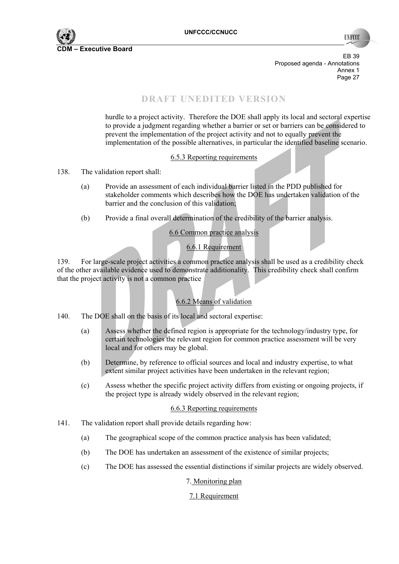

**INFCC** 

EB 39 Proposed agenda - Annotations Annex 1<br>Page 27 Page 27 November 28 November 2016 and 2016 and 2016 and 2016 and 2016 and 2016 and 2016 and 2016 and 2016 and 2016 and 2016 and 2016 and 2016 and 2016 and 2016 and 2016 and 2016 and 2016 and 2016 and 2016 and 2016 and 2016

# **DRAFT UNEDITED VERSION**

hurdle to a project activity. Therefore the DOE shall apply its local and sectoral expertise to provide a judgment regarding whether a barrier or set or barriers can be considered to prevent the implementation of the project activity and not to equally prevent the implementation of the possible alternatives, in particular the identified baseline scenario.

#### 6.5.3 Reporting requirements

- 138. The validation report shall:
	- (a) Provide an assessment of each individual barrier listed in the PDD published for stakeholder comments which describes how the DOE has undertaken validation of the barrier and the conclusion of this validation;
	- (b) Provide a final overall determination of the credibility of the barrier analysis.

#### 6.6 Common practice analysis

#### 6.6.1 Requirement

139. For large-scale project activities a common practice analysis shall be used as a credibility check of the other available evidence used to demonstrate additionality. This credibility check shall confirm that the project activity is not a common practice

## 6.6.2 Means of validation

- 140. The DOE shall on the basis of its local and sectoral expertise:
	- (a) Assess whether the defined region is appropriate for the technology/industry type, for certain technologies the relevant region for common practice assessment will be very local and for others may be global.
	- (b) Determine, by reference to official sources and local and industry expertise, to what extent similar project activities have been undertaken in the relevant region;
	- (c) Assess whether the specific project activity differs from existing or ongoing projects, if the project type is already widely observed in the relevant region;

#### 6.6.3 Reporting requirements

- 141. The validation report shall provide details regarding how:
	- (a) The geographical scope of the common practice analysis has been validated;
	- (b) The DOE has undertaken an assessment of the existence of similar projects;
	- (c) The DOE has assessed the essential distinctions if similar projects are widely observed.

#### 7. Monitoring plan

## 7.1 Requirement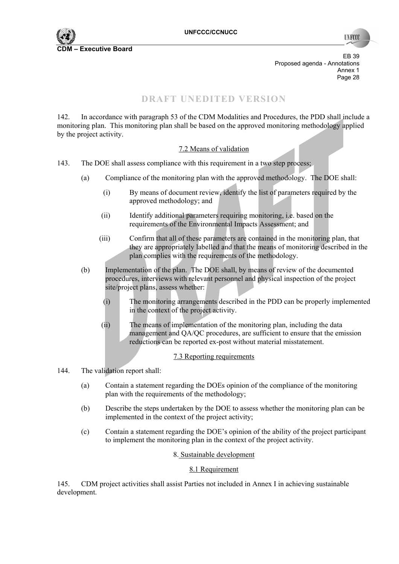

**INFCO** 

EB 39 Proposed agenda - Annotations Annex 1<br>Page 28 Page 28 **Page 28** 

# **DRAFT UNEDITED VERSION**

142. In accordance with paragraph 53 of the CDM Modalities and Procedures, the PDD shall include a monitoring plan. This monitoring plan shall be based on the approved monitoring methodology applied by the project activity.

#### 7.2 Means of validation

- 143. The DOE shall assess compliance with this requirement in a two step process;
	- (a) Compliance of the monitoring plan with the approved methodology. The DOE shall:
		- (i) By means of document review, identify the list of parameters required by the approved methodology; and
		- (ii) Identify additional parameters requiring monitoring, i.e. based on the requirements of the Environmental Impacts Assessment; and
		- (iii) Confirm that all of these parameters are contained in the monitoring plan, that they are appropriately labelled and that the means of monitoring described in the plan complies with the requirements of the methodology.
	- (b) Implementation of the plan. The DOE shall, by means of review of the documented procedures, interviews with relevant personnel and physical inspection of the project site/project plans, assess whether:
		- (i) The monitoring arrangements described in the PDD can be properly implemented in the context of the project activity.
		- (ii) The means of implementation of the monitoring plan, including the data management and QA/QC procedures, are sufficient to ensure that the emission reductions can be reported ex-post without material misstatement.

#### 7.3 Reporting requirements

- 144. The validation report shall:
	- (a) Contain a statement regarding the DOEs opinion of the compliance of the monitoring plan with the requirements of the methodology;
	- (b) Describe the steps undertaken by the DOE to assess whether the monitoring plan can be implemented in the context of the project activity;
	- (c) Contain a statement regarding the DOE's opinion of the ability of the project participant to implement the monitoring plan in the context of the project activity.

#### 8. Sustainable development

#### 8.1 Requirement

145. CDM project activities shall assist Parties not included in Annex I in achieving sustainable development.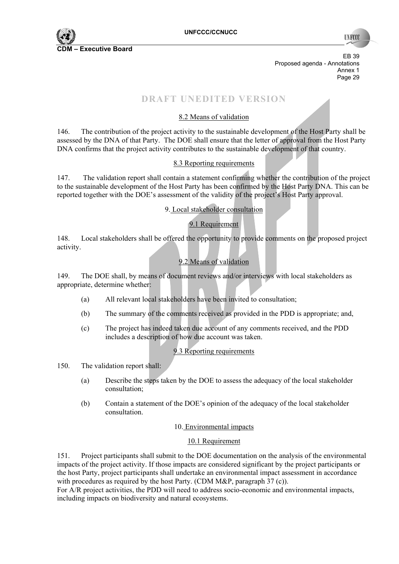

**TIN FCC** 

EB 39 Proposed agenda - Annotations Annex 1<br>Page 29 Page 29 and the state of the state of the state of the state of the state of the state of the state of the state of the state of the state of the state of the state of the state of the state of the state of the state of th

# **DRAFT UNEDITED VERSION**

## 8.2 Means of validation

146. The contribution of the project activity to the sustainable development of the Host Party shall be assessed by the DNA of that Party. The DOE shall ensure that the letter of approval from the Host Party DNA confirms that the project activity contributes to the sustainable development of that country.

#### 8.3 Reporting requirements

147. The validation report shall contain a statement confirming whether the contribution of the project to the sustainable development of the Host Party has been confirmed by the Host Party DNA. This can be reported together with the DOE's assessment of the validity of the project's Host Party approval.

9. Local stakeholder consultation

#### 9.1 Requirement

148. Local stakeholders shall be offered the opportunity to provide comments on the proposed project activity.

## 9.2 Means of validation

149. The DOE shall, by means of document reviews and/or interviews with local stakeholders as appropriate, determine whether:

- (a) All relevant local stakeholders have been invited to consultation;
- (b) The summary of the comments received as provided in the PDD is appropriate; and,
- (c) The project has indeed taken due account of any comments received, and the PDD includes a description of how due account was taken.

## 9.3 Reporting requirements

- 150. The validation report shall:
	- (a) Describe the steps taken by the DOE to assess the adequacy of the local stakeholder consultation;
	- (b) Contain a statement of the DOE's opinion of the adequacy of the local stakeholder consultation.

#### 10. Environmental impacts

#### 10.1 Requirement

151. Project participants shall submit to the DOE documentation on the analysis of the environmental impacts of the project activity. If those impacts are considered significant by the project participants or the host Party, project participants shall undertake an environmental impact assessment in accordance with procedures as required by the host Party. (CDM  $M\&P$ , paragraph 37 (c)).

For A/R project activities, the PDD will need to address socio-economic and environmental impacts, including impacts on biodiversity and natural ecosystems.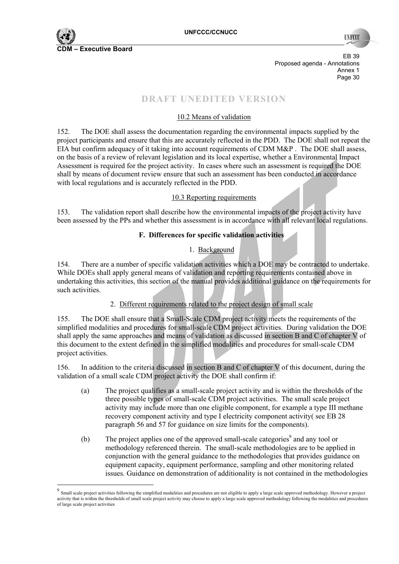

 $\overline{a}$ 

EB 39 Proposed agenda - Annotations Annex 1 Page 30 **Page 30** 

# **DRAFT UNEDITED VERSION**

## 10.2 Means of validation

152. The DOE shall assess the documentation regarding the environmental impacts supplied by the project participants and ensure that this are accurately reflected in the PDD. The DOE shall not repeat the EIA but confirm adequacy of it taking into account requirements of CDM M&P . The DOE shall assess, on the basis of a review of relevant legislation and its local expertise, whether a Environmental Impact Assessment is required for the project activity. In cases where such an assessment is required the DOE shall by means of document review ensure that such an assessment has been conducted in accordance with local regulations and is accurately reflected in the PDD.

#### 10.3 Reporting requirements

153. The validation report shall describe how the environmental impacts of the project activity have been assessed by the PPs and whether this assessment is in accordance with all relevant local regulations.

#### **F. Differences for specific validation activities**

#### 1. Background

154. There are a number of specific validation activities which a DOE may be contracted to undertake. While DOEs shall apply general means of validation and reporting requirements contained above in undertaking this activities, this section of the manual provides additional guidance on the requirements for such activities.

#### 2. Different requirements related to the project design of small scale

155. The DOE shall ensure that a Small-Scale CDM project activity meets the requirements of the simplified modalities and procedures for small-scale CDM project activities. During validation the DOE shall apply the same approaches and means of validation as discussed in section B and C of chapter V of this document to the extent defined in the simplified modalities and procedures for small-scale CDM project activities.

156. In addition to the criteria discussed in section B and C of chapter V of this document, during the validation of a small scale CDM project activity the DOE shall confirm if:

- (a) The project qualifies as a small-scale project activity and is within the thresholds of the three possible types of small-scale CDM project activities. The small scale project activity may include more than one eligible component, for example a type III methane recovery component activity and type I electricity component activity( see EB 28 paragraph 56 and 57 for guidance on size limits for the components).
- (b) The project applies one of the approved small-scale categories<sup>9</sup> and any tool or methodology referenced therein. The small-scale methodologies are to be applied in conjunction with the general guidance to the methodologies that provides guidance on equipment capacity, equipment performance, sampling and other monitoring related issues. Guidance on demonstration of additionality is not contained in the methodologies

 $9$  Small scale project activities following the simplified modalities and procedures are not eligible to apply a large scale approved methodology. However a project activity that is within the thresholds of small scale project activity may choose to apply a large scale approved methodology following the modalities and procedures of large scale project activities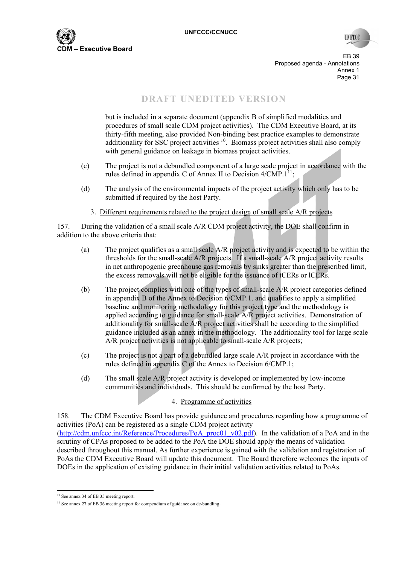

EB 39 Proposed agenda - Annotations Annex 1 Page 31 **Page 31** 

# **DRAFT UNEDITED VERSION**

but is included in a separate document (appendix B of simplified modalities and procedures of small scale CDM project activities). The CDM Executive Board, at its thirty-fifth meeting, also provided Non-binding best practice examples to demonstrate additionality for SSC project activities <sup>10</sup>. Biomass project activities shall also comply with general guidance on leakage in biomass project activities.

- (c) The project is not a debundled component of a large scale project in accordance with the rules defined in appendix C of Annex II to Decision  $4/\text{CMP}.1^{11}$ ;
- (d) The analysis of the environmental impacts of the project activity which only has to be submitted if required by the host Party.
	- 3. Different requirements related to the project design of small scale A/R projects

157. During the validation of a small scale A/R CDM project activity, the DOE shall confirm in addition to the above criteria that:

- (a) The project qualifies as a small scale A/R project activity and is expected to be within the thresholds for the small-scale A/R projects. If a small-scale A/R project activity results in net anthropogenic greenhouse gas removals by sinks greater than the prescribed limit, the excess removals will not be eligible for the issuance of tCERs or lCERs.
- (b) The project complies with one of the types of small-scale A/R project categories defined in appendix B of the Annex to Decision 6/CMP.1. and qualifies to apply a simplified baseline and monitoring methodology for this project type and the methodology is applied according to guidance for small-scale A/R project activities. Demonstration of additionality for small-scale A/R project activities shall be according to the simplified guidance included as an annex in the methodology. The additionality tool for large scale A/R project activities is not applicable to small-scale A/R projects;
- (c) The project is not a part of a debundled large scale A/R project in accordance with the rules defined in appendix C of the Annex to Decision 6/CMP.1;
- (d) The small scale A/R project activity is developed or implemented by low-income communities and individuals. This should be confirmed by the host Party.

#### 4. Programme of activities

158. The CDM Executive Board has provide guidance and procedures regarding how a programme of activities (PoA) can be registered as a single CDM project activity (http://cdm.unfccc.int/Reference/Procedures/PoA\_proc01\_v02.pdf). In the validation of a PoA and in the scrutiny of CPAs proposed to be added to the PoA the DOE should apply the means of validation described throughout this manual. As further experience is gained with the validation and registration of PoAs the CDM Executive Board will update this document. The Board therefore welcomes the inputs of DOEs in the application of existing guidance in their initial validation activities related to PoAs.

 $\overline{a}$ 

<sup>10</sup> See annex 34 of EB 35 meeting report.

<sup>&</sup>lt;sup>11</sup> See annex 27 of EB 36 meeting report for compendium of guidance on de-bundling.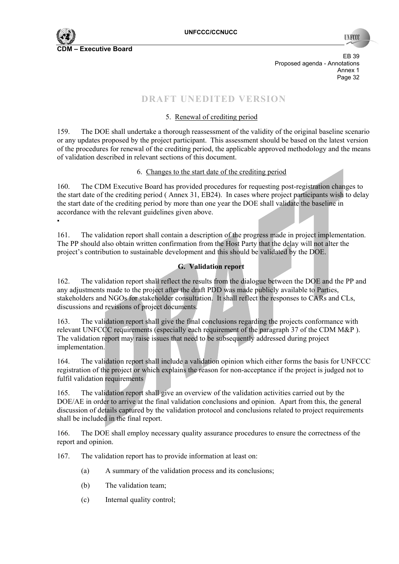

н.

**IN ROO** 

EB 39 Proposed agenda - Annotations Annex 1<br>Page 32 Page 32 **Page 32** 

# **DRAFT UNEDITED VERSION**

## 5. Renewal of crediting period

159. The DOE shall undertake a thorough reassessment of the validity of the original baseline scenario or any updates proposed by the project participant. This assessment should be based on the latest version of the procedures for renewal of the crediting period, the applicable approved methodology and the means of validation described in relevant sections of this document.

#### 6. Changes to the start date of the crediting period

160. The CDM Executive Board has provided procedures for requesting post-registration changes to the start date of the crediting period ( Annex 31, EB24). In cases where project participants wish to delay the start date of the crediting period by more than one year the DOE shall validate the baseline in accordance with the relevant guidelines given above.

161. The validation report shall contain a description of the progress made in project implementation. The PP should also obtain written confirmation from the Host Party that the delay will not alter the project's contribution to sustainable development and this should be validated by the DOE.

## **G. Validation report**

162. The validation report shall reflect the results from the dialogue between the DOE and the PP and any adjustments made to the project after the draft PDD was made publicly available to Parties, stakeholders and NGOs for stakeholder consultation. It shall reflect the responses to CARs and CLs, discussions and revisions of project documents.

163. The validation report shall give the final conclusions regarding the projects conformance with relevant UNFCCC requirements (especially each requirement of the paragraph 37 of the CDM M&P ). The validation report may raise issues that need to be subsequently addressed during project implementation.

164. The validation report shall include a validation opinion which either forms the basis for UNFCCC registration of the project or which explains the reason for non-acceptance if the project is judged not to fulfil validation requirements

165. The validation report shall give an overview of the validation activities carried out by the DOE/AE in order to arrive at the final validation conclusions and opinion. Apart from this, the general discussion of details captured by the validation protocol and conclusions related to project requirements shall be included in the final report.

166. The DOE shall employ necessary quality assurance procedures to ensure the correctness of the report and opinion.

167. The validation report has to provide information at least on:

- (a) A summary of the validation process and its conclusions;
- (b) The validation team;
- (c) Internal quality control;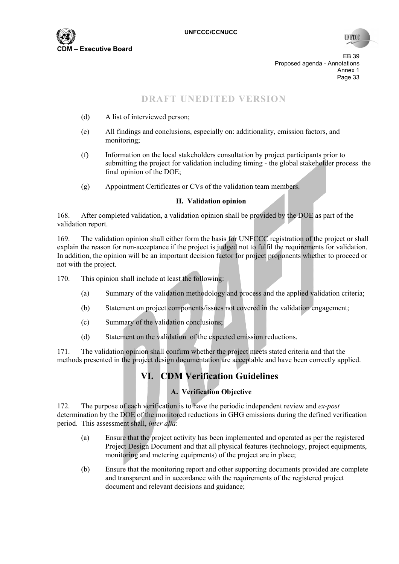

EB 39 Proposed agenda - Annotations Annex 1<br>Page 33 Page 33 Page 33

## **DRAFT UNEDITED VERSION**

- (d) A list of interviewed person;
- (e) All findings and conclusions, especially on: additionality, emission factors, and monitoring;
- (f) Information on the local stakeholders consultation by project participants prior to submitting the project for validation including timing - the global stakeholder process the final opinion of the DOE;
- (g) Appointment Certificates or CVs of the validation team members.

#### **H. Validation opinion**

168. After completed validation, a validation opinion shall be provided by the DOE as part of the validation report.

169. The validation opinion shall either form the basis for UNFCCC registration of the project or shall explain the reason for non-acceptance if the project is judged not to fulfil the requirements for validation. In addition, the opinion will be an important decision factor for project proponents whether to proceed or not with the project.

170. This opinion shall include at least the following:

- (a) Summary of the validation methodology and process and the applied validation criteria;
- (b) Statement on project components/issues not covered in the validation engagement;
- (c) Summary of the validation conclusions;
- (d) Statement on the validation of the expected emission reductions.

171. The validation opinion shall confirm whether the project meets stated criteria and that the methods presented in the project design documentation are acceptable and have been correctly applied.

# **VI. CDM Verification Guidelines**

## **A. Verification Objective**

172. The purpose of each verification is to have the periodic independent review and *ex-post* determination by the DOE of the monitored reductions in GHG emissions during the defined verification period. This assessment shall, *inter alia*:

- (a) Ensure that the project activity has been implemented and operated as per the registered Project Design Document and that all physical features (technology, project equipments, monitoring and metering equipments) of the project are in place;
- (b) Ensure that the monitoring report and other supporting documents provided are complete and transparent and in accordance with the requirements of the registered project document and relevant decisions and guidance;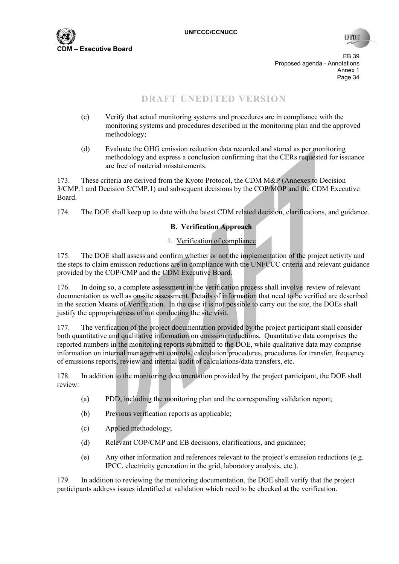

EB 39 Proposed agenda - Annotations Annex 1<br>Page 34 Page 34

# **DRAFT UNEDITED VERSION**

- (c) Verify that actual monitoring systems and procedures are in compliance with the monitoring systems and procedures described in the monitoring plan and the approved methodology;
- (d) Evaluate the GHG emission reduction data recorded and stored as per monitoring methodology and express a conclusion confirming that the CERs requested for issuance are free of material misstatements.

173. These criteria are derived from the Kyoto Protocol, the CDM M&P (Annexes to Decision 3/CMP.1 and Decision 5/CMP.1) and subsequent decisions by the COP/MOP and the CDM Executive Board.

174. The DOE shall keep up to date with the latest CDM related decision, clarifications, and guidance.

#### **B. Verification Approach**

#### 1. Verification of compliance

175. The DOE shall assess and confirm whether or not the implementation of the project activity and the steps to claim emission reductions are in compliance with the UNFCCC criteria and relevant guidance provided by the COP/CMP and the CDM Executive Board.

176. In doing so, a complete assessment in the verification process shall involve review of relevant documentation as well as on-site assessment. Details of information that need to be verified are described in the section Means of Verification. In the case it is not possible to carry out the site, the DOEs shall justify the appropriateness of not conducting the site visit.

177. The verification of the project documentation provided by the project participant shall consider both quantitative and qualitative information on emission reductions. Quantitative data comprises the reported numbers in the monitoring reports submitted to the DOE, while qualitative data may comprise information on internal management controls, calculation procedures, procedures for transfer, frequency of emissions reports, review and internal audit of calculations/data transfers, etc.

178. In addition to the monitoring documentation provided by the project participant, the DOE shall review:

- (a) PDD, including the monitoring plan and the corresponding validation report;
- (b) Previous verification reports as applicable;
- (c) Applied methodology;
- (d) Relevant COP/CMP and EB decisions, clarifications, and guidance;
- (e) Any other information and references relevant to the project's emission reductions (e.g. IPCC, electricity generation in the grid, laboratory analysis, etc.).

179. In addition to reviewing the monitoring documentation, the DOE shall verify that the project participants address issues identified at validation which need to be checked at the verification.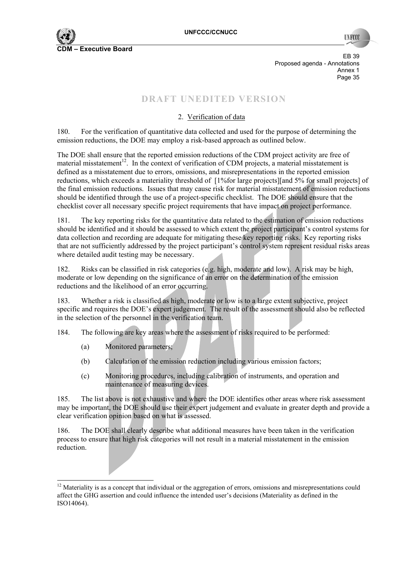

EB 39 Proposed agenda - Annotations Annex 1<br>Page 35 Page 35 **Page 35** 

# **DRAFT UNEDITED VERSION**

## 2. Verification of data

180. For the verification of quantitative data collected and used for the purpose of determining the emission reductions, the DOE may employ a risk-based approach as outlined below.

The DOE shall ensure that the reported emission reductions of the CDM project activity are free of material misstatement<sup>12</sup>. In the context of verification of CDM projects, a material misstatement is defined as a misstatement due to errors, omissions, and misrepresentations in the reported emission reductions, which exceeds a materiality threshold of [1%for large projects][and 5% for small projects] of the final emission reductions. Issues that may cause risk for material misstatement of emission reductions should be identified through the use of a project-specific checklist. The DOE should ensure that the checklist cover all necessary specific project requirements that have impact on project performance.

181. The key reporting risks for the quantitative data related to the estimation of emission reductions should be identified and it should be assessed to which extent the project participant's control systems for data collection and recording are adequate for mitigating these key reporting risks. Key reporting risks that are not sufficiently addressed by the project participant's control system represent residual risks areas where detailed audit testing may be necessary.

182. Risks can be classified in risk categories (e.g. high, moderate and low). A risk may be high, moderate or low depending on the significance of an error on the determination of the emission reductions and the likelihood of an error occurring.

183. Whether a risk is classified as high, moderate or low is to a large extent subjective, project specific and requires the DOE's expert judgement. The result of the assessment should also be reflected in the selection of the personnel in the verification team.

184. The following are key areas where the assessment of risks required to be performed:

(a) Monitored parameters;

- (b) Calculation of the emission reduction including various emission factors;
- (c) Monitoring procedures, including calibration of instruments, and operation and maintenance of measuring devices.

185. The list above is not exhaustive and where the DOE identifies other areas where risk assessment may be important, the DOE should use their expert judgement and evaluate in greater depth and provide a clear verification opinion based on what is assessed.

186. The DOE shall clearly describe what additional measures have been taken in the verification process to ensure that high risk categories will not result in a material misstatement in the emission reduction.

<sup>&</sup>lt;sup>12</sup> Materiality is as a concept that individual or the aggregation of errors, omissions and misrepresentations could affect the GHG assertion and could influence the intended user's decisions (Materiality as defined in the ISO14064).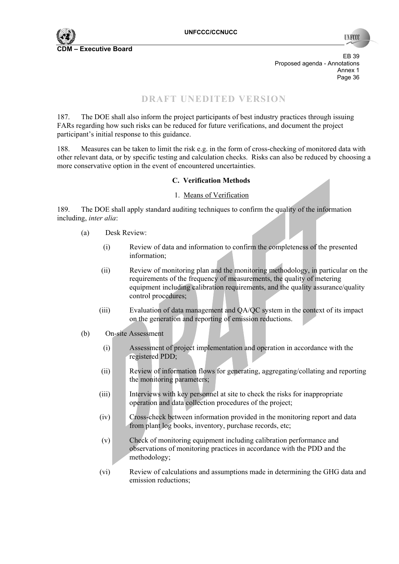

EB 39 Proposed agenda - Annotations Annex 1<br>Page 36 Page 36 **Page 36** 

# **DRAFT UNEDITED VERSION**

187. The DOE shall also inform the project participants of best industry practices through issuing FARs regarding how such risks can be reduced for future verifications, and document the project participant's initial response to this guidance.

188. Measures can be taken to limit the risk e.g. in the form of cross-checking of monitored data with other relevant data, or by specific testing and calculation checks. Risks can also be reduced by choosing a more conservative option in the event of encountered uncertainties.

#### **C. Verification Methods**

#### 1. Means of Verification

189. The DOE shall apply standard auditing techniques to confirm the quality of the information including, *inter alia*:

- (a) Desk Review:
	- (i) Review of data and information to confirm the completeness of the presented information;
	- (ii) Review of monitoring plan and the monitoring methodology, in particular on the requirements of the frequency of measurements, the quality of metering equipment including calibration requirements, and the quality assurance/quality control procedures;
	- (iii) Evaluation of data management and QA/QC system in the context of its impact on the generation and reporting of emission reductions.
- (b) On-site Assessment
	- (i) Assessment of project implementation and operation in accordance with the registered PDD;
	- (ii) Review of information flows for generating, aggregating/collating and reporting the monitoring parameters;
	- (iii) Interviews with key personnel at site to check the risks for inappropriate operation and data collection procedures of the project;
	- (iv) Cross-check between information provided in the monitoring report and data from plant log books, inventory, purchase records, etc;
	- (v) Check of monitoring equipment including calibration performance and observations of monitoring practices in accordance with the PDD and the methodology;
	- (vi) Review of calculations and assumptions made in determining the GHG data and emission reductions;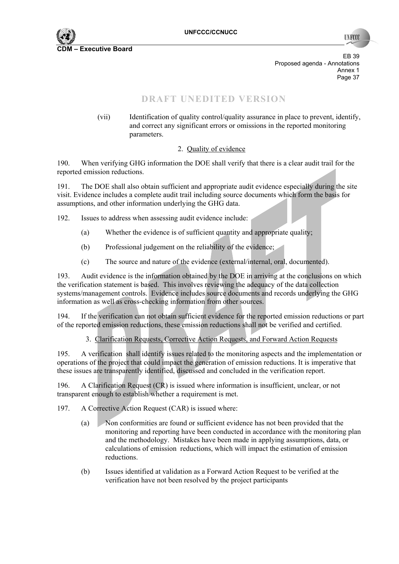

**TIVECC** 

EB 39 Proposed agenda - Annotations Annex 1<br>Page 37 Page 37 and the state of the state of the state of the state of the state of the state of the state of the state of the state of the state of the state of the state of the state of the state of the state of the state of th

# **DRAFT UNEDITED VERSION**

(vii) Identification of quality control/quality assurance in place to prevent, identify, and correct any significant errors or omissions in the reported monitoring parameters.

#### 2. Quality of evidence

190. When verifying GHG information the DOE shall verify that there is a clear audit trail for the reported emission reductions.

191. The DOE shall also obtain sufficient and appropriate audit evidence especially during the site visit. Evidence includes a complete audit trail including source documents which form the basis for assumptions, and other information underlying the GHG data.

192. Issues to address when assessing audit evidence include:

- (a) Whether the evidence is of sufficient quantity and appropriate quality;
- (b) Professional judgement on the reliability of the evidence;
- (c) The source and nature of the evidence (external/internal, oral, documented).

193. Audit evidence is the information obtained by the DOE in arriving at the conclusions on which the verification statement is based. This involves reviewing the adequacy of the data collection systems/management controls. Evidence includes source documents and records underlying the GHG information as well as cross-checking information from other sources.

194. If the verification can not obtain sufficient evidence for the reported emission reductions or part of the reported emission reductions, these emission reductions shall not be verified and certified.

3. Clarification Requests, Corrective Action Requests, and Forward Action Requests

195. A verification shall identify issues related to the monitoring aspects and the implementation or operations of the project that could impact the generation of emission reductions. It is imperative that these issues are transparently identified, discussed and concluded in the verification report.

196. A Clarification Request (CR) is issued where information is insufficient, unclear, or not transparent enough to establish whether a requirement is met.

197. A Corrective Action Request (CAR) is issued where:

- (a) Non conformities are found or sufficient evidence has not been provided that the monitoring and reporting have been conducted in accordance with the monitoring plan and the methodology. Mistakes have been made in applying assumptions, data, or calculations of emission reductions, which will impact the estimation of emission reductions.
- (b) Issues identified at validation as a Forward Action Request to be verified at the verification have not been resolved by the project participants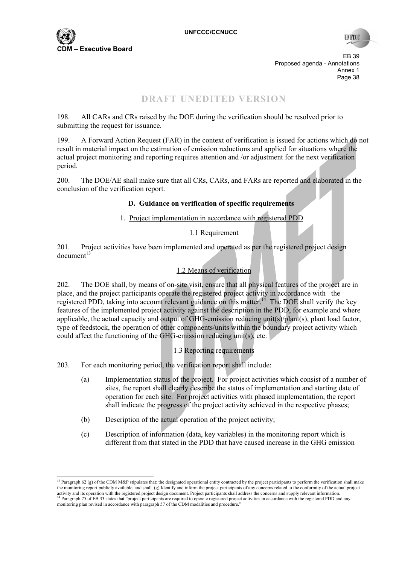

**IN ROO** 

EB 39 Proposed agenda - Annotations Annex 1<br>Page 38 Page 38 **Page 38** 

## **DRAFT UNEDITED VERSION**

198. All CARs and CRs raised by the DOE during the verification should be resolved prior to submitting the request for issuance.

199. A Forward Action Request (FAR) in the context of verification is issued for actions which do not result in material impact on the estimation of emission reductions and applied for situations where the actual project monitoring and reporting requires attention and /or adjustment for the next verification period.

200. The DOE/AE shall make sure that all CRs, CARs, and FARs are reported and elaborated in the conclusion of the verification report.

#### **D. Guidance on verification of specific requirements**

#### 1. Project implementation in accordance with registered PDD

#### 1.1 Requirement

201. Project activities have been implemented and operated as per the registered project design  $d$ ocument $^{13}$ 

#### 1.2 Means of verification

202. The DOE shall, by means of on-site visit, ensure that all physical features of the project are in place, and the project participants operate the registered project activity in accordance with the registered PDD, taking into account relevant guidance on this matter.<sup>14</sup> The DOE shall verify the key features of the implemented project activity against the description in the PDD, for example and where applicable, the actual capacity and output of GHG-emission reducing unit(s)/plant(s), plant load factor, type of feedstock, the operation of other components/units within the boundary project activity which could affect the functioning of the GHG-emission reducing unit(s), etc.

#### 1.3 Reporting requirements

203. For each monitoring period, the verification report shall include:

- (a) Implementation status of the project. For project activities which consist of a number of sites, the report shall clearly describe the status of implementation and starting date of operation for each site. For project activities with phased implementation, the report shall indicate the progress of the project activity achieved in the respective phases;
- (b) Description of the actual operation of the project activity;
- (c) Description of information (data, key variables) in the monitoring report which is different from that stated in the PDD that have caused increase in the GHG emission

<sup>&</sup>lt;sup>13</sup> Paragraph 62 (g) of the CDM M&P stipulates that: the designated operational entity contracted by the project participants to perform the verification shall make the monitoring report publicly available, and shall (g) Identify and inform the project participants of any concerns related to the conformity of the actual project activity and its operation with the registered project design document. Project participants shall address the concerns and supply relevant information.<br><sup>14</sup> Paragraph 75 of EB 33 states that "project participants are requ monitoring plan revised in accordance with paragraph 57 of the CDM modalities and procedure.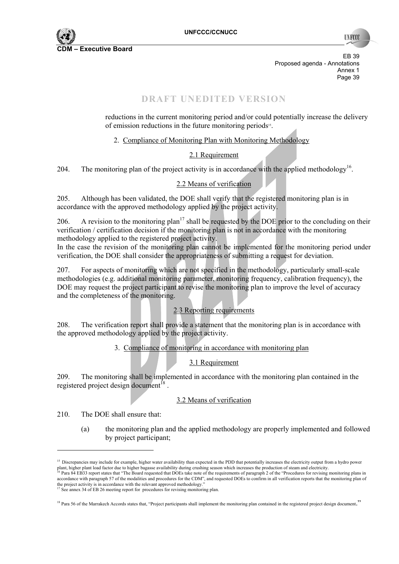

EB 39 Proposed agenda - Annotations Annex 1<br>Page 39 Page 39 **Page 39** 

# **DRAFT UNEDITED VERSION**

reductions in the current monitoring period and/or could potentially increase the delivery of emission reductions in the future monitoring periods<sup>15</sup>.

2. Compliance of Monitoring Plan with Monitoring Methodology

## 2.1 Requirement

204. The monitoring plan of the project activity is in accordance with the applied methodology<sup>16</sup>.

#### 2.2 Means of verification

205. Although has been validated, the DOE shall verify that the registered monitoring plan is in accordance with the approved methodology applied by the project activity.

206. A revision to the monitoring plan<sup>17</sup> shall be requested by the DOE prior to the concluding on their verification / certification decision if the monitoring plan is not in accordance with the monitoring methodology applied to the registered project activity.

In the case the revision of the monitoring plan cannot be implemented for the monitoring period under verification, the DOE shall consider the appropriateness of submitting a request for deviation.

207. For aspects of monitoring which are not specified in the methodology, particularly small-scale methodologies (e.g. additional monitoring parameter, monitoring frequency, calibration frequency), the DOE may request the project participant to revise the monitoring plan to improve the level of accuracy and the completeness of the monitoring.

## 2.3 Reporting requirements

208. The verification report shall provide a statement that the monitoring plan is in accordance with the approved methodology applied by the project activity.

3. Compliance of monitoring in accordance with monitoring plan

## 3.1 Requirement

209. The monitoring shall be implemented in accordance with the monitoring plan contained in the registered project design document<sup>18</sup>.

#### 3.2 Means of verification

210. The DOE shall ensure that:

(a) the monitoring plan and the applied methodology are properly implemented and followed by project participant;

<sup>&</sup>lt;sup>15</sup> Discrepancies may include for example, higher water availability than expected in the PDD that potentially increases the electricity output from a hydro power plant, higher plant load factor due to higher bagasse availability during crushing season which increases the production of steam and electricity.<br><sup>16</sup> Para 84 EB33 report states that "The Board requested that DOEs take no accordance with paragraph 57 of the modalities and procedures for the CDM", and requested DOEs to confirm in all verification reports that the monitoring plan of

the project activity is in accordance with the relevant approved methodology."<br><sup>17</sup> See annex 34 of EB 26 meeting report for procedures for revising monitoring plan.

<sup>&</sup>lt;sup>18</sup> Para 56 of the Marrakech Accords states that, "Project participants shall implement the monitoring plan contained in the registered project design document."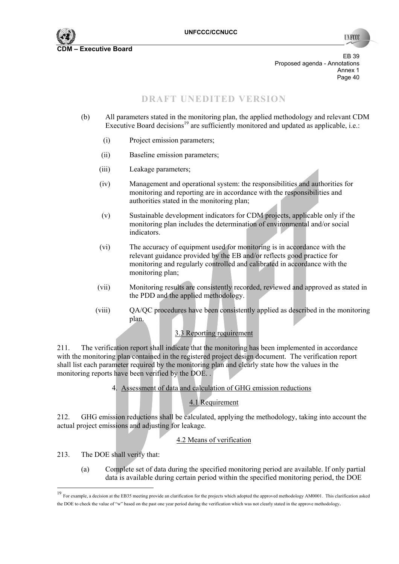

**INFO** 

EB 39 Proposed agenda - Annotations Annex 1<br>Page 40 Page 40

# **DRAFT UNEDITED VERSION**

- (b) All parameters stated in the monitoring plan, the applied methodology and relevant CDM Executive Board decisions<sup>19</sup> are sufficiently monitored and updated as applicable, i.e.:
	- (i) Project emission parameters;
	- (ii) Baseline emission parameters;
	- (iii) Leakage parameters;
	- (iv) Management and operational system: the responsibilities and authorities for monitoring and reporting are in accordance with the responsibilities and authorities stated in the monitoring plan;
	- (v) Sustainable development indicators for CDM projects, applicable only if the monitoring plan includes the determination of environmental and/or social indicators.
	- (vi) The accuracy of equipment used for monitoring is in accordance with the relevant guidance provided by the EB and/or reflects good practice for monitoring and regularly controlled and calibrated in accordance with the monitoring plan;
	- (vii) Monitoring results are consistently recorded, reviewed and approved as stated in the PDD and the applied methodology.
	- (viii) QA/QC procedures have been consistently applied as described in the monitoring plan.

## 3.3 Reporting requirement

211. The verification report shall indicate that the monitoring has been implemented in accordance with the monitoring plan contained in the registered project design document. The verification report shall list each parameter required by the monitoring plan and clearly state how the values in the monitoring reports have been verified by the DOE. .

#### 4. Assessment of data and calculation of GHG emission reductions

## 4.1 Requirement

212. GHG emission reductions shall be calculated, applying the methodology, taking into account the actual project emissions and adjusting for leakage.

#### 4.2 Means of verification

213. The DOE shall verify that:

(a) Complete set of data during the specified monitoring period are available. If only partial data is available during certain period within the specified monitoring period, the DOE

<sup>19</sup> For example, a decision at the EB35 meeting provide an clarification for the projects which adopted the approved methodology AM0001. This clarification asked the DOE to check the value of "w" based on the past one year period during the verification which was not clearly stated in the approve methodology.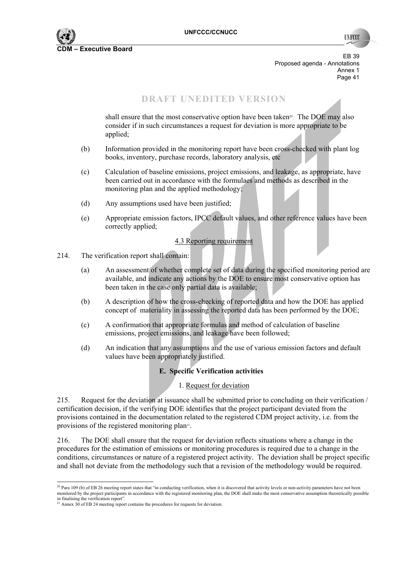

**TIVECC** 

EB 39 Proposed agenda - Annotations Annex 1<br>Page 41 Page 41 **Page 41** 

## **DRAFT UNEDITED VERSION**

shall ensure that the most conservative option have been taken<sup>20</sup>. The DOE may also consider if in such circumstances a request for deviation is more appropriate to be applied;

- (b) Information provided in the monitoring report have been cross-checked with plant log books, inventory, purchase records, laboratory analysis, etc
- (c) Calculation of baseline emissions, project emissions, and leakage, as appropriate, have been carried out in accordance with the formulaes and methods as described in the monitoring plan and the applied methodology;
- (d) Any assumptions used have been justified;
- (e) Appropriate emission factors, IPCC default values, and other reference values have been correctly applied;

#### 4.3 Reporting requirement

- 214. The verification report shall contain:
	- (a) An assessment of whether complete set of data during the specified monitoring period are available, and indicate any actions by the DOE to ensure most conservative option has been taken in the case only partial data is available;
	- (b) A description of how the cross-checking of reported data and how the DOE has applied concept of materiality in assessing the reported data has been performed by the DOE;
	- (c) A confirmation that appropriate formulas and method of calculation of baseline emissions, project emissions, and leakage have been followed;
	- (d) An indication that any assumptions and the use of various emission factors and default values have been appropriately justified.

#### **E. Specific Verification activities**

#### 1. Request for deviation

215. Request for the deviation at issuance shall be submitted prior to concluding on their verification / certification decision, if the verifying DOE identifies that the project participant deviated from the provisions contained in the documentation related to the registered CDM project activity, i.e. from the provisions of the registered monitoring plan<sup>21</sup>.

216. The DOE shall ensure that the request for deviation reflects situations where a change in the procedures for the estimation of emissions or monitoring procedures is required due to a change in the conditions, circumstances or nature of a registered project activity. The deviation shall be project specific and shall not deviate from the methodology such that a revision of the methodology would be required.

  $^{20}$  Para 109 (b) of EB 26 meeting report states that "in conducting verification, when it is discovered that activity levels or non-activity parameters have not been monitored by the project participants in accordance with the registered monitoring plan, the DOE shall make the most conservative assumption theoretically possible

in finalising the verification report".<br><sup>21</sup> Annex 30 of EB 24 meeting report contains the procedures for requests for deviation.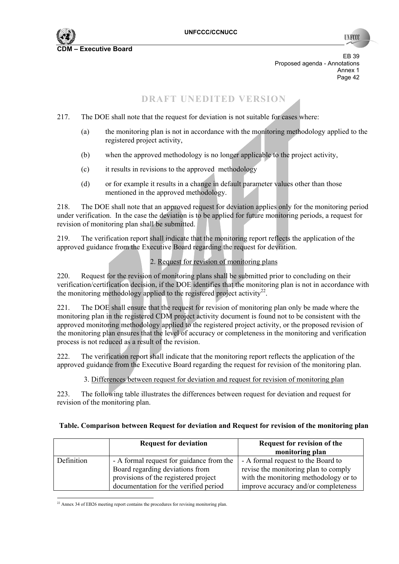

**INFO** 

EB 39 Proposed agenda - Annotations Annex 1<br>Page 42 Page 42 **Page 42** 

## **DRAFT UNEDITED VERSION**

- 217. The DOE shall note that the request for deviation is not suitable for cases where:
	- (a) the monitoring plan is not in accordance with the monitoring methodology applied to the registered project activity,
	- (b) when the approved methodology is no longer applicable to the project activity,
	- (c) it results in revisions to the approved methodology
	- (d) or for example it results in a change in default parameter values other than those mentioned in the approved methodology.

218. The DOE shall note that an approved request for deviation applies only for the monitoring period under verification. In the case the deviation is to be applied for future monitoring periods, a request for revision of monitoring plan shall be submitted.

219. The verification report shall indicate that the monitoring report reflects the application of the approved guidance from the Executive Board regarding the request for deviation.

## 2. Request for revision of monitoring plans

220. Request for the revision of monitoring plans shall be submitted prior to concluding on their verification/certification decision, if the DOE identifies that the monitoring plan is not in accordance with the monitoring methodology applied to the registered project activity<sup>22</sup>.

221. The DOE shall ensure that the request for revision of monitoring plan only be made where the monitoring plan in the registered CDM project activity document is found not to be consistent with the approved monitoring methodology applied to the registered project activity, or the proposed revision of the monitoring plan ensures that the level of accuracy or completeness in the monitoring and verification process is not reduced as a result of the revision.

222. The verification report shall indicate that the monitoring report reflects the application of the approved guidance from the Executive Board regarding the request for revision of the monitoring plan.

#### 3. Differences between request for deviation and request for revision of monitoring plan

223. The following table illustrates the differences between request for deviation and request for revision of the monitoring plan.

|            | <b>Request for deviation</b>             | <b>Request for revision of the</b>    |
|------------|------------------------------------------|---------------------------------------|
|            |                                          | monitoring plan                       |
| Definition | - A formal request for guidance from the | - A formal request to the Board to    |
|            | Board regarding deviations from          | revise the monitoring plan to comply  |
|            | provisions of the registered project     | with the monitoring methodology or to |
|            | documentation for the verified period    | improve accuracy and/or completeness  |

#### **Table. Comparison between Request for deviation and Request for revision of the monitoring plan**

  $22$  Annex 34 of EB26 meeting report contains the procedures for revising monitoring plan.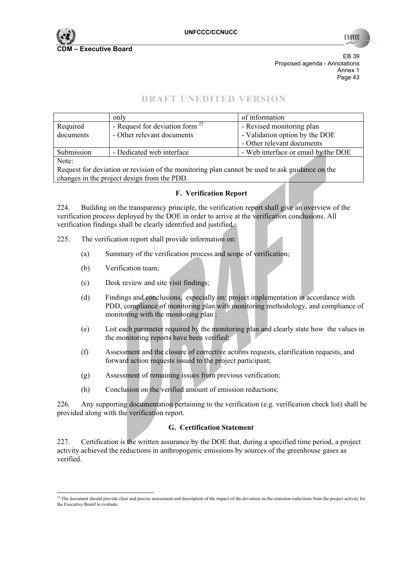

**TIN RC** 

EB 39 Proposed agenda - Annotations Annex 1<br>Page 43 Page 43

# **DRAFT UNEDITED VERSION**

|                                                                                                | only                                 | of information                      |  |  |
|------------------------------------------------------------------------------------------------|--------------------------------------|-------------------------------------|--|--|
| Required                                                                                       | - Request for deviation form $^{23}$ | - Revised monitoring plan           |  |  |
| documents                                                                                      | - Other relevant documents           | - Validation option by the DOE      |  |  |
|                                                                                                |                                      | - Other relevant documents          |  |  |
| Submission                                                                                     | - Dedicated web interface            | - Web interface or email by the DOE |  |  |
| Note:                                                                                          |                                      |                                     |  |  |
| Request for deviation or revision of the monitoring plan cannot be used to ask guidance on the |                                      |                                     |  |  |

Request for deviation or revision of the monitoring plan cannot be used to ask guidance on the changes in the project design from the PDD.

#### **F. Verification Report**

224. Building on the transparency principle, the verification report shall give an overview of the verification process deployed by the DOE in order to arrive at the verification conclusions. All verification findings shall be clearly identified and justified.

- 225. The verification report shall provide information on:
	- (a) Summary of the verification process and scope of verification;
	- (b) Verification team;
	- (c) Desk review and site visit findings;
	- (d) Findings and conclusions, especially on: project implementation in accordance with PDD, compliance of monitoring plan with monitoring methodology, and compliance of monitoring with the monitoring plan ;
	- (e) List each parameter required by the monitoring plan and clearly state how the values in the monitoring reports have been verified;
	- (f) Assessment and the closure of corrective actions requests, clarification requests, and forward action requests issued to the project participant;
	- (g) Assessment of remaining issues from previous verification;
	- (h) Conclusion on the verified amount of emission reductions;

226. Any supporting documentation pertaining to the verification (e.g. verification check list) shall be provided along with the verification report.

#### **G. Certification Statement**

227. Certification is the written assurance by the DOE that, during a specified time period, a project activity achieved the reductions in anthropogenic emissions by sources of the greenhouse gases as verified.

  $^{23}$  The document should provide clear and precise assessment and description of the impact of the deviation on the emission reductions from the project activity for the Executive Board to evaluate.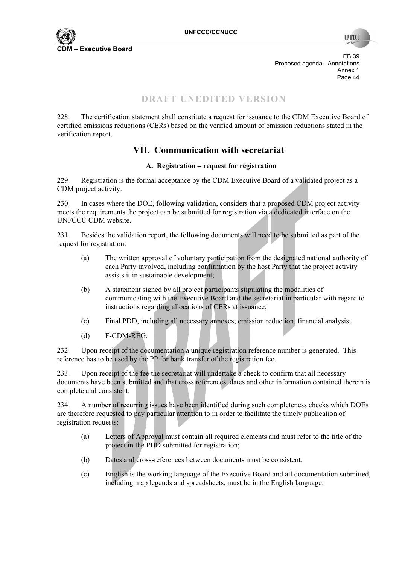

EB 39 Proposed agenda - Annotations Annex 1<br>Page 44 Page 44

# **DRAFT UNEDITED VERSION**

228. The certification statement shall constitute a request for issuance to the CDM Executive Board of certified emissions reductions (CERs) based on the verified amount of emission reductions stated in the verification report.

# **VII. Communication with secretariat**

#### **A. Registration – request for registration**

229. Registration is the formal acceptance by the CDM Executive Board of a validated project as a CDM project activity.

230. In cases where the DOE, following validation, considers that a proposed CDM project activity meets the requirements the project can be submitted for registration via a dedicated interface on the UNFCCC CDM website.

231. Besides the validation report, the following documents will need to be submitted as part of the request for registration:

- (a) The written approval of voluntary participation from the designated national authority of each Party involved, including confirmation by the host Party that the project activity assists it in sustainable development;
- (b) A statement signed by all project participants stipulating the modalities of communicating with the Executive Board and the secretariat in particular with regard to instructions regarding allocations of CERs at issuance;
- (c) Final PDD, including all necessary annexes; emission reduction, financial analysis;
- (d) F-CDM-REG.

232. Upon receipt of the documentation a unique registration reference number is generated. This reference has to be used by the PP for bank transfer of the registration fee.

233. Upon receipt of the fee the secretariat will undertake a check to confirm that all necessary documents have been submitted and that cross references, dates and other information contained therein is complete and consistent.

234. A number of recurring issues have been identified during such completeness checks which DOEs are therefore requested to pay particular attention to in order to facilitate the timely publication of registration requests:

- (a) Letters of Approval must contain all required elements and must refer to the title of the project in the PDD submitted for registration;
- (b) Dates and cross-references between documents must be consistent;
- (c) English is the working language of the Executive Board and all documentation submitted, including map legends and spreadsheets, must be in the English language;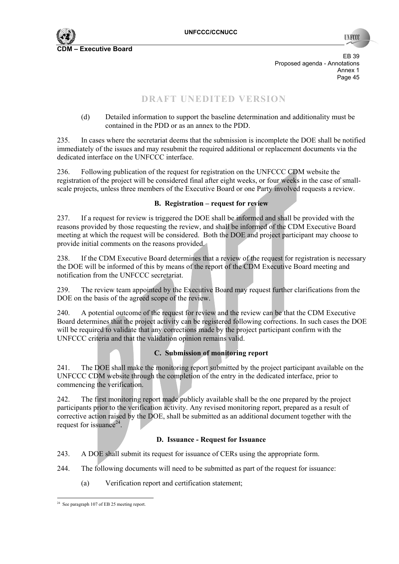

**INFO** 

EB 39 Proposed agenda - Annotations Annex 1<br>Page 45 Page 45

# **DRAFT UNEDITED VERSION**

(d) Detailed information to support the baseline determination and additionality must be contained in the PDD or as an annex to the PDD.

235. In cases where the secretariat deems that the submission is incomplete the DOE shall be notified immediately of the issues and may resubmit the required additional or replacement documents via the dedicated interface on the UNFCCC interface.

236. Following publication of the request for registration on the UNFCCC CDM website the registration of the project will be considered final after eight weeks, or four weeks in the case of smallscale projects, unless three members of the Executive Board or one Party involved requests a review.

#### **B. Registration – request for review**

237. If a request for review is triggered the DOE shall be informed and shall be provided with the reasons provided by those requesting the review, and shall be informed of the CDM Executive Board meeting at which the request will be considered. Both the DOE and project participant may choose to provide initial comments on the reasons provided.

238. If the CDM Executive Board determines that a review of the request for registration is necessary the DOE will be informed of this by means of the report of the CDM Executive Board meeting and notification from the UNFCCC secretariat.

239. The review team appointed by the Executive Board may request further clarifications from the DOE on the basis of the agreed scope of the review.

240. A potential outcome of the request for review and the review can be that the CDM Executive Board determines that the project activity can be registered following corrections. In such cases the DOE will be required to validate that any corrections made by the project participant confirm with the UNFCCC criteria and that the validation opinion remains valid.

#### **C. Submission of monitoring report**

241. The DOE shall make the monitoring report submitted by the project participant available on the UNFCCC CDM website through the completion of the entry in the dedicated interface, prior to commencing the verification.

242. The first monitoring report made publicly available shall be the one prepared by the project participants prior to the verification activity. Any revised monitoring report, prepared as a result of corrective action raised by the DOE, shall be submitted as an additional document together with the request for issuance $24$ .

#### **D. Issuance - Request for Issuance**

243. A DOE shall submit its request for issuance of CERs using the appropriate form.

244. The following documents will need to be submitted as part of the request for issuance:

(a) Verification report and certification statement;

 <sup>24</sup> See paragraph 107 of EB 25 meeting report.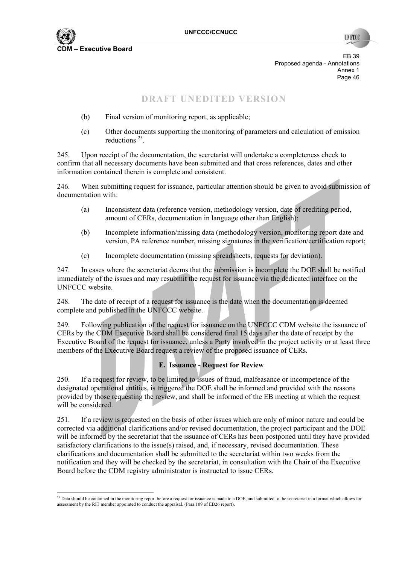

EB 39 Proposed agenda - Annotations Annex 1<br>Page 46 Page 46

# **DRAFT UNEDITED VERSION**

- (b) Final version of monitoring report, as applicable;
- (c) Other documents supporting the monitoring of parameters and calculation of emission reductions 25.

245. Upon receipt of the documentation, the secretariat will undertake a completeness check to confirm that all necessary documents have been submitted and that cross references, dates and other information contained therein is complete and consistent.

246. When submitting request for issuance, particular attention should be given to avoid submission of documentation with:

- (a) Inconsistent data (reference version, methodology version, date of crediting period, amount of CERs, documentation in language other than English);
- (b) Incomplete information/missing data (methodology version, monitoring report date and version, PA reference number, missing signatures in the verification/certification report;
- (c) Incomplete documentation (missing spreadsheets, requests for deviation).

247. In cases where the secretariat deems that the submission is incomplete the DOE shall be notified immediately of the issues and may resubmit the request for issuance via the dedicated interface on the UNFCCC website.

248. The date of receipt of a request for issuance is the date when the documentation is deemed complete and published in the UNFCCC website.

249. Following publication of the request for issuance on the UNFCCC CDM website the issuance of CERs by the CDM Executive Board shall be considered final 15 days after the date of receipt by the Executive Board of the request for issuance, unless a Party involved in the project activity or at least three members of the Executive Board request a review of the proposed issuance of CERs.

## **E. Issuance - Request for Review**

250. If a request for review, to be limited to issues of fraud, malfeasance or incompetence of the designated operational entities, is triggered the DOE shall be informed and provided with the reasons provided by those requesting the review, and shall be informed of the EB meeting at which the request will be considered.

251. If a review is requested on the basis of other issues which are only of minor nature and could be corrected via additional clarifications and/or revised documentation, the project participant and the DOE will be informed by the secretariat that the issuance of CERs has been postponed until they have provided satisfactory clarifications to the issue(s) raised, and, if necessary, revised documentation. These clarifications and documentation shall be submitted to the secretariat within two weeks from the notification and they will be checked by the secretariat, in consultation with the Chair of the Executive Board before the CDM registry administrator is instructed to issue CERs.

  $^{25}$  Data should be contained in the monitoring report before a request for issuance is made to a DOE, and submitted to the secretariat in a format which allows for assessment by the RIT member appointed to conduct the appraisal. (Para 109 of EB26 report).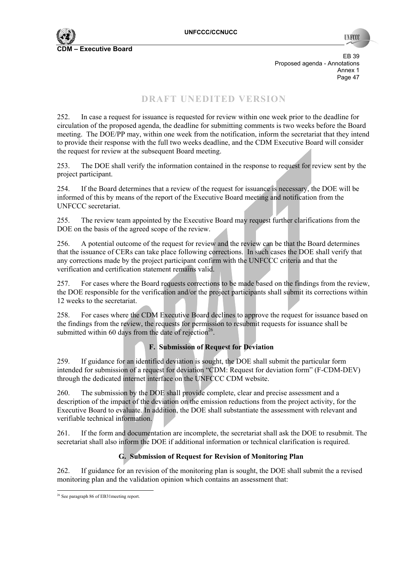EB 39 Proposed agenda - Annotations Annex 1<br>Page 47 Page 47

# **DRAFT UNEDITED VERSION**

252. In case a request for issuance is requested for review within one week prior to the deadline for circulation of the proposed agenda, the deadline for submitting comments is two weeks before the Board meeting. The DOE/PP may, within one week from the notification, inform the secretariat that they intend to provide their response with the full two weeks deadline, and the CDM Executive Board will consider the request for review at the subsequent Board meeting.

253. The DOE shall verify the information contained in the response to request for review sent by the project participant.

254. If the Board determines that a review of the request for issuance is necessary, the DOE will be informed of this by means of the report of the Executive Board meeting and notification from the UNFCCC secretariat.

255. The review team appointed by the Executive Board may request further clarifications from the DOE on the basis of the agreed scope of the review.

256. A potential outcome of the request for review and the review can be that the Board determines that the issuance of CERs can take place following corrections. In such cases the DOE shall verify that any corrections made by the project participant confirm with the UNFCCC criteria and that the verification and certification statement remains valid.

257. For cases where the Board requests corrections to be made based on the findings from the review, the DOE responsible for the verification and/or the project participants shall submit its corrections within 12 weeks to the secretariat.

258. For cases where the CDM Executive Board declines to approve the request for issuance based on the findings from the review, the requests for permission to resubmit requests for issuance shall be submitted within 60 days from the date of rejection<sup>26</sup>.

#### **F. Submission of Request for Deviation**

259. If guidance for an identified deviation is sought, the DOE shall submit the particular form intended for submission of a request for deviation "CDM: Request for deviation form" (F-CDM-DEV) through the dedicated internet interface on the UNFCCC CDM website.

260. The submission by the DOE shall provide complete, clear and precise assessment and a description of the impact of the deviation on the emission reductions from the project activity, for the Executive Board to evaluate. In addition, the DOE shall substantiate the assessment with relevant and verifiable technical information.

261. If the form and documentation are incomplete, the secretariat shall ask the DOE to resubmit. The secretariat shall also inform the DOE if additional information or technical clarification is required.

## **G. Submission of Request for Revision of Monitoring Plan**

262. If guidance for an revision of the monitoring plan is sought, the DOE shall submit the a revised monitoring plan and the validation opinion which contains an assessment that:

 $\overline{a}$ <sup>26</sup> See paragraph 86 of EB31 meeting report.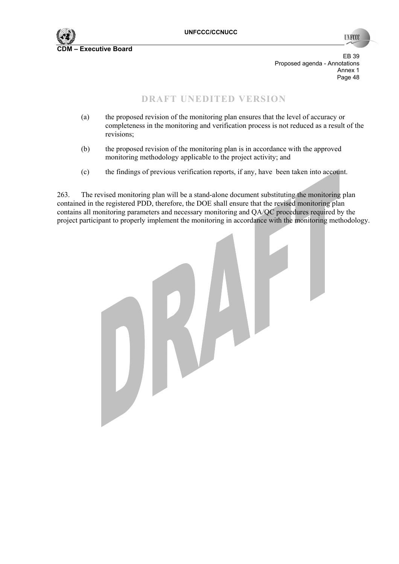

**INFCCC** 

EB 39 Proposed agenda - Annotations Annex 1<br>Page 48 Page 48 **Page 48** 

## **DRAFT UNEDITED VERSION**

- (a) the proposed revision of the monitoring plan ensures that the level of accuracy or completeness in the monitoring and verification process is not reduced as a result of the revisions;
- (b) the proposed revision of the monitoring plan is in accordance with the approved monitoring methodology applicable to the project activity; and
- (c) the findings of previous verification reports, if any, have been taken into account.

263. The revised monitoring plan will be a stand-alone document substituting the monitoring plan contained in the registered PDD, therefore, the DOE shall ensure that the revised monitoring plan contains all monitoring parameters and necessary monitoring and QA/QC procedures required by the project participant to properly implement the monitoring in accordance with the monitoring methodology.